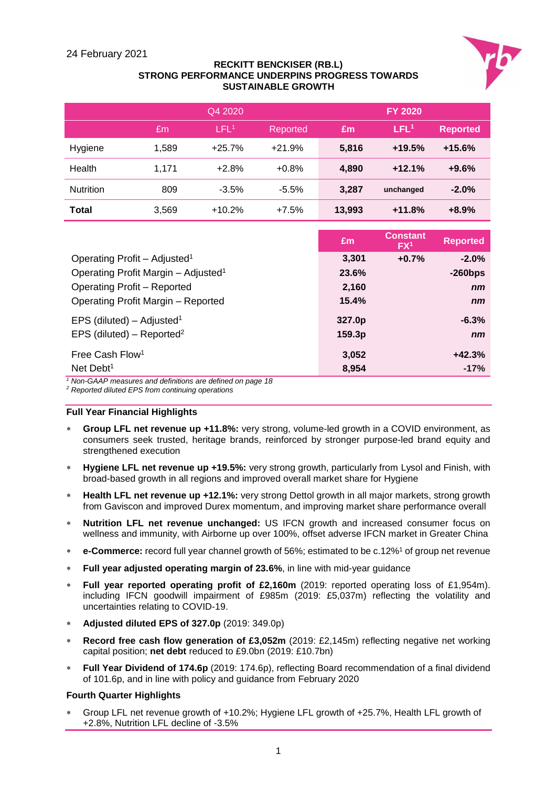

#### **RECKITT BENCKISER (RB.L) STRONG PERFORMANCE UNDERPINS PROGRESS TOWARDS SUSTAINABLE GROWTH**

|              |       | Q4 2020          |          |        | <b>FY 2020</b>   |                 |
|--------------|-------|------------------|----------|--------|------------------|-----------------|
|              | Em.   | LFL <sup>1</sup> | Reported | £m     | LFL <sup>1</sup> | <b>Reported</b> |
| Hygiene      | 1,589 | $+25.7%$         | $+21.9%$ | 5,816  | $+19.5%$         | $+15.6%$        |
| Health       | 1,171 | $+2.8%$          | $+0.8%$  | 4,890  | $+12.1%$         | $+9.6%$         |
| Nutrition    | 809   | $-3.5%$          | $-5.5%$  | 3,287  | unchanged        | $-2.0%$         |
| <b>Total</b> | 3,569 | $+10.2%$         | $+7.5%$  | 13,993 | $+11.8%$         | $+8.9%$         |

|                                                                                                                     | Em     | <b>Constant</b><br>FX <sup>1</sup> | <b>Reported</b> |
|---------------------------------------------------------------------------------------------------------------------|--------|------------------------------------|-----------------|
| Operating Profit - Adjusted <sup>1</sup>                                                                            | 3,301  | $+0.7%$                            | $-2.0%$         |
| Operating Profit Margin - Adjusted <sup>1</sup>                                                                     | 23.6%  |                                    | $-260$ bps      |
| <b>Operating Profit - Reported</b>                                                                                  | 2,160  |                                    | n <sub>m</sub>  |
| Operating Profit Margin - Reported                                                                                  | 15.4%  |                                    | n <sub>m</sub>  |
| EPS (diluted) – Adjusted <sup>1</sup>                                                                               | 327.0p |                                    | $-6.3%$         |
| EPS (diluted) – Reported <sup>2</sup>                                                                               | 159.3p |                                    | n <sub>m</sub>  |
| Free Cash Flow <sup>1</sup>                                                                                         | 3,052  |                                    | $+42.3%$        |
| Net Debt <sup>1</sup><br>$\cdot$ $\cdot$ $\cdot$ $\cdot$ $\cdot$ $\cdot$ $\cdot$<br>$\cdot$ $\cdot$ $\cdot$ $\cdot$ | 8,954  |                                    | $-17%$          |

*<sup>1</sup> Non-GAAP measures and definitions are defined on page 18*

*<sup>2</sup> Reported diluted EPS from continuing operations*

#### **Full Year Financial Highlights**

- **Group LFL net revenue up +11.8%:** very strong, volume-led growth in a COVID environment, as consumers seek trusted, heritage brands, reinforced by stronger purpose-led brand equity and strengthened execution
- **Hygiene LFL net revenue up +19.5%:** very strong growth, particularly from Lysol and Finish, with broad-based growth in all regions and improved overall market share for Hygiene
- **Health LFL net revenue up +12.1%:** very strong Dettol growth in all major markets, strong growth from Gaviscon and improved Durex momentum, and improving market share performance overall
- **Nutrition LFL net revenue unchanged:** US IFCN growth and increased consumer focus on wellness and immunity, with Airborne up over 100%, offset adverse IFCN market in Greater China
- **e-Commerce:** record full year channel growth of 56%; estimated to be c.12%<sup>1</sup> of group net revenue
- **Full year adjusted operating margin of 23.6%**, in line with mid-year guidance
- **Full year reported operating profit of £2,160m** (2019: reported operating loss of £1,954m). including IFCN goodwill impairment of £985m (2019: £5,037m) reflecting the volatility and uncertainties relating to COVID-19.
- **Adjusted diluted EPS of 327.0p** (2019: 349.0p)
- **Record free cash flow generation of £3,052m** (2019: £2,145m) reflecting negative net working capital position; **net debt** reduced to £9.0bn (2019: £10.7bn)
- **Full Year Dividend of 174.6p** (2019: 174.6p), reflecting Board recommendation of a final dividend of 101.6p, and in line with policy and guidance from February 2020

#### **Fourth Quarter Highlights**

 Group LFL net revenue growth of +10.2%; Hygiene LFL growth of +25.7%, Health LFL growth of +2.8%, Nutrition LFL decline of -3.5%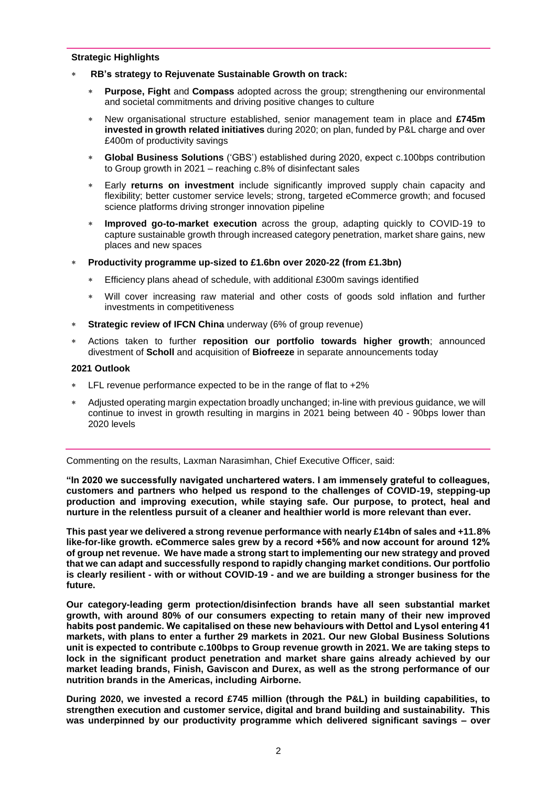#### **Strategic Highlights**

- **RB's strategy to Rejuvenate Sustainable Growth on track:**
	- **Purpose, Fight** and **Compass** adopted across the group; strengthening our environmental and societal commitments and driving positive changes to culture
	- New organisational structure established, senior management team in place and **£745m invested in growth related initiatives** during 2020; on plan, funded by P&L charge and over £400m of productivity savings
	- **Global Business Solutions** ('GBS') established during 2020, expect c.100bps contribution to Group growth in 2021 – reaching c.8% of disinfectant sales
	- Early **returns on investment** include significantly improved supply chain capacity and flexibility; better customer service levels; strong, targeted eCommerce growth; and focused science platforms driving stronger innovation pipeline
	- **Improved go-to-market execution** across the group, adapting quickly to COVID-19 to capture sustainable growth through increased category penetration, market share gains, new places and new spaces
- **Productivity programme up-sized to £1.6bn over 2020-22 (from £1.3bn)**
	- Efficiency plans ahead of schedule, with additional £300m savings identified
	- Will cover increasing raw material and other costs of goods sold inflation and further investments in competitiveness
- **Strategic review of IFCN China** underway (6% of group revenue)
- Actions taken to further **reposition our portfolio towards higher growth**; announced divestment of **Scholl** and acquisition of **Biofreeze** in separate announcements today

#### **2021 Outlook**

- LFL revenue performance expected to be in the range of flat to +2%
- Adjusted operating margin expectation broadly unchanged; in-line with previous guidance, we will continue to invest in growth resulting in margins in 2021 being between 40 - 90bps lower than 2020 levels

Commenting on the results, Laxman Narasimhan, Chief Executive Officer, said:

**"In 2020 we successfully navigated unchartered waters. I am immensely grateful to colleagues, customers and partners who helped us respond to the challenges of COVID-19, stepping-up production and improving execution, while staying safe. Our purpose, to protect, heal and nurture in the relentless pursuit of a cleaner and healthier world is more relevant than ever.** 

**This past year we delivered a strong revenue performance with nearly £14bn of sales and +11.8% like-for-like growth. eCommerce sales grew by a record +56% and now account for around 12% of group net revenue. We have made a strong start to implementing our new strategy and proved that we can adapt and successfully respond to rapidly changing market conditions. Our portfolio is clearly resilient - with or without COVID-19 - and we are building a stronger business for the future.** 

**Our category-leading germ protection/disinfection brands have all seen substantial market growth, with around 80% of our consumers expecting to retain many of their new improved habits post pandemic. We capitalised on these new behaviours with Dettol and Lysol entering 41 markets, with plans to enter a further 29 markets in 2021. Our new Global Business Solutions unit is expected to contribute c.100bps to Group revenue growth in 2021. We are taking steps to lock in the significant product penetration and market share gains already achieved by our market leading brands, Finish, Gaviscon and Durex, as well as the strong performance of our nutrition brands in the Americas, including Airborne.** 

**During 2020, we invested a record £745 million (through the P&L) in building capabilities, to strengthen execution and customer service, digital and brand building and sustainability. This was underpinned by our productivity programme which delivered significant savings – over**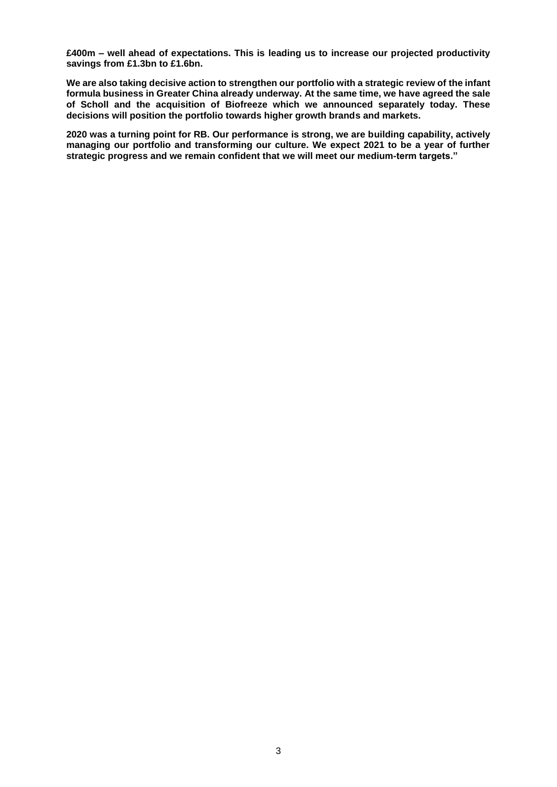**£400m – well ahead of expectations. This is leading us to increase our projected productivity savings from £1.3bn to £1.6bn.**

**We are also taking decisive action to strengthen our portfolio with a strategic review of the infant formula business in Greater China already underway. At the same time, we have agreed the sale of Scholl and the acquisition of Biofreeze which we announced separately today. These decisions will position the portfolio towards higher growth brands and markets.** 

**2020 was a turning point for RB. Our performance is strong, we are building capability, actively managing our portfolio and transforming our culture. We expect 2021 to be a year of further strategic progress and we remain confident that we will meet our medium-term targets."**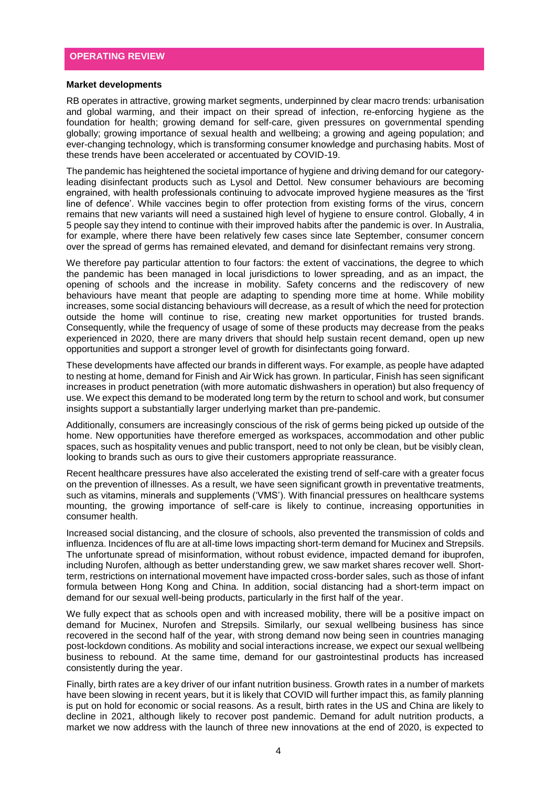#### **Market developments**

RB operates in attractive, growing market segments, underpinned by clear macro trends: urbanisation and global warming, and their impact on their spread of infection, re-enforcing hygiene as the foundation for health; growing demand for self-care, given pressures on governmental spending globally; growing importance of sexual health and wellbeing; a growing and ageing population; and ever-changing technology, which is transforming consumer knowledge and purchasing habits. Most of these trends have been accelerated or accentuated by COVID-19.

The pandemic has heightened the societal importance of hygiene and driving demand for our categoryleading disinfectant products such as Lysol and Dettol. New consumer behaviours are becoming engrained, with health professionals continuing to advocate improved hygiene measures as the 'first line of defence'. While vaccines begin to offer protection from existing forms of the virus, concern remains that new variants will need a sustained high level of hygiene to ensure control. Globally, 4 in 5 people say they intend to continue with their improved habits after the pandemic is over. In Australia, for example, where there have been relatively few cases since late September, consumer concern over the spread of germs has remained elevated, and demand for disinfectant remains very strong.

We therefore pay particular attention to four factors: the extent of vaccinations, the degree to which the pandemic has been managed in local jurisdictions to lower spreading, and as an impact, the opening of schools and the increase in mobility. Safety concerns and the rediscovery of new behaviours have meant that people are adapting to spending more time at home. While mobility increases, some social distancing behaviours will decrease, as a result of which the need for protection outside the home will continue to rise, creating new market opportunities for trusted brands. Consequently, while the frequency of usage of some of these products may decrease from the peaks experienced in 2020, there are many drivers that should help sustain recent demand, open up new opportunities and support a stronger level of growth for disinfectants going forward.

These developments have affected our brands in different ways. For example, as people have adapted to nesting at home, demand for Finish and Air Wick has grown. In particular, Finish has seen significant increases in product penetration (with more automatic dishwashers in operation) but also frequency of use. We expect this demand to be moderated long term by the return to school and work, but consumer insights support a substantially larger underlying market than pre-pandemic.

Additionally, consumers are increasingly conscious of the risk of germs being picked up outside of the home. New opportunities have therefore emerged as workspaces, accommodation and other public spaces, such as hospitality venues and public transport, need to not only be clean, but be visibly clean, looking to brands such as ours to give their customers appropriate reassurance.

Recent healthcare pressures have also accelerated the existing trend of self-care with a greater focus on the prevention of illnesses. As a result, we have seen significant growth in preventative treatments, such as vitamins, minerals and supplements ('VMS'). With financial pressures on healthcare systems mounting, the growing importance of self-care is likely to continue, increasing opportunities in consumer health.

Increased social distancing, and the closure of schools, also prevented the transmission of colds and influenza. Incidences of flu are at all-time lows impacting short-term demand for Mucinex and Strepsils. The unfortunate spread of misinformation, without robust evidence, impacted demand for ibuprofen, including Nurofen, although as better understanding grew, we saw market shares recover well. Shortterm, restrictions on international movement have impacted cross-border sales, such as those of infant formula between Hong Kong and China. In addition, social distancing had a short-term impact on demand for our sexual well-being products, particularly in the first half of the year.

We fully expect that as schools open and with increased mobility, there will be a positive impact on demand for Mucinex, Nurofen and Strepsils. Similarly, our sexual wellbeing business has since recovered in the second half of the year, with strong demand now being seen in countries managing post-lockdown conditions. As mobility and social interactions increase, we expect our sexual wellbeing business to rebound. At the same time, demand for our gastrointestinal products has increased consistently during the year.

Finally, birth rates are a key driver of our infant nutrition business. Growth rates in a number of markets have been slowing in recent years, but it is likely that COVID will further impact this, as family planning is put on hold for economic or social reasons. As a result, birth rates in the US and China are likely to decline in 2021, although likely to recover post pandemic. Demand for adult nutrition products, a market we now address with the launch of three new innovations at the end of 2020, is expected to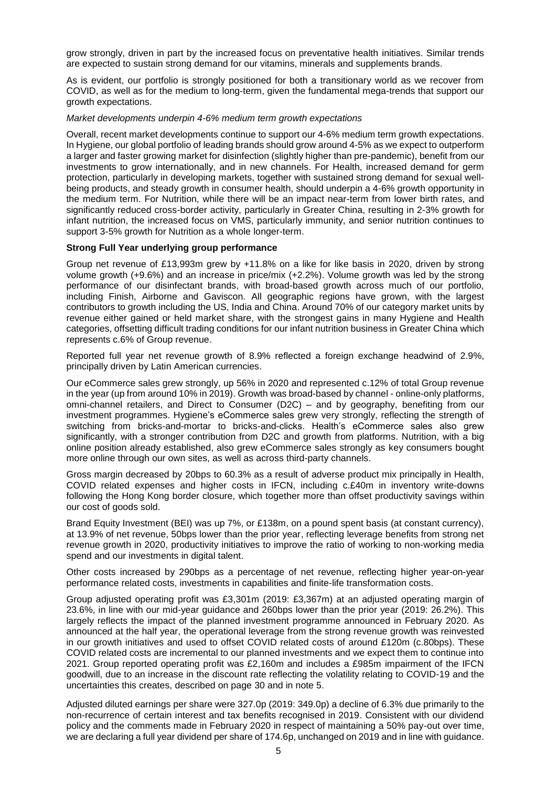grow strongly, driven in part by the increased focus on preventative health initiatives. Similar trends are expected to sustain strong demand for our vitamins, minerals and supplements brands.

As is evident, our portfolio is strongly positioned for both a transitionary world as we recover from COVID, as well as for the medium to long-term, given the fundamental mega-trends that support our growth expectations.

#### *Market developments underpin 4-6% medium term growth expectations*

Overall, recent market developments continue to support our 4-6% medium term growth expectations. In Hygiene, our global portfolio of leading brands should grow around 4-5% as we expect to outperform a larger and faster growing market for disinfection (slightly higher than pre-pandemic), benefit from our investments to grow internationally, and in new channels. For Health, increased demand for germ protection, particularly in developing markets, together with sustained strong demand for sexual wellbeing products, and steady growth in consumer health, should underpin a 4-6% growth opportunity in the medium term. For Nutrition, while there will be an impact near-term from lower birth rates, and significantly reduced cross-border activity, particularly in Greater China, resulting in 2-3% growth for infant nutrition, the increased focus on VMS, particularly immunity, and senior nutrition continues to support 3-5% growth for Nutrition as a whole longer-term.

#### **Strong Full Year underlying group performance**

Group net revenue of £13,993m grew by +11.8% on a like for like basis in 2020, driven by strong volume growth (+9.6%) and an increase in price/mix (+2.2%). Volume growth was led by the strong performance of our disinfectant brands, with broad-based growth across much of our portfolio, including Finish, Airborne and Gaviscon. All geographic regions have grown, with the largest contributors to growth including the US, India and China. Around 70% of our category market units by revenue either gained or held market share, with the strongest gains in many Hygiene and Health categories, offsetting difficult trading conditions for our infant nutrition business in Greater China which represents c.6% of Group revenue.

Reported full year net revenue growth of 8.9% reflected a foreign exchange headwind of 2.9%, principally driven by Latin American currencies.

Our eCommerce sales grew strongly, up 56% in 2020 and represented c.12% of total Group revenue in the year (up from around 10% in 2019). Growth was broad-based by channel - online-only platforms, omni-channel retailers, and Direct to Consumer (D2C) – and by geography, benefiting from our investment programmes. Hygiene's eCommerce sales grew very strongly, reflecting the strength of switching from bricks-and-mortar to bricks-and-clicks. Health's eCommerce sales also grew significantly, with a stronger contribution from D2C and growth from platforms. Nutrition, with a big online position already established, also grew eCommerce sales strongly as key consumers bought more online through our own sites, as well as across third-party channels.

Gross margin decreased by 20bps to 60.3% as a result of adverse product mix principally in Health, COVID related expenses and higher costs in IFCN, including c.£40m in inventory write-downs following the Hong Kong border closure, which together more than offset productivity savings within our cost of goods sold.

Brand Equity Investment (BEI) was up 7%, or £138m, on a pound spent basis (at constant currency), at 13.9% of net revenue, 50bps lower than the prior year, reflecting leverage benefits from strong net revenue growth in 2020, productivity initiatives to improve the ratio of working to non-working media spend and our investments in digital talent.

Other costs increased by 290bps as a percentage of net revenue, reflecting higher year-on-year performance related costs, investments in capabilities and finite-life transformation costs.

Group adjusted operating profit was £3,301m (2019: £3,367m) at an adjusted operating margin of 23.6%, in line with our mid-year guidance and 260bps lower than the prior year (2019: 26.2%). This largely reflects the impact of the planned investment programme announced in February 2020. As announced at the half year, the operational leverage from the strong revenue growth was reinvested in our growth initiatives and used to offset COVID related costs of around £120m (c.80bps). These COVID related costs are incremental to our planned investments and we expect them to continue into 2021. Group reported operating profit was £2,160m and includes a £985m impairment of the IFCN goodwill, due to an increase in the discount rate reflecting the volatility relating to COVID-19 and the uncertainties this creates, described on page 30 and in note 5.

Adjusted diluted earnings per share were 327.0p (2019: 349.0p) a decline of 6.3% due primarily to the non-recurrence of certain interest and tax benefits recognised in 2019. Consistent with our dividend policy and the comments made in February 2020 in respect of maintaining a 50% pay-out over time, we are declaring a full year dividend per share of 174.6p, unchanged on 2019 and in line with guidance.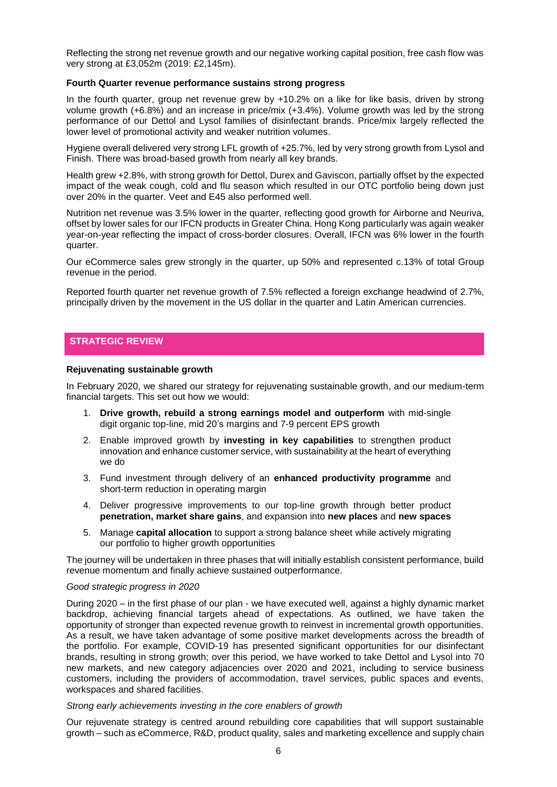Reflecting the strong net revenue growth and our negative working capital position, free cash flow was very strong at £3,052m (2019: £2,145m).

#### **Fourth Quarter revenue performance sustains strong progress**

In the fourth quarter, group net revenue grew by +10.2% on a like for like basis, driven by strong volume growth (+6.8%) and an increase in price/mix (+3.4%). Volume growth was led by the strong performance of our Dettol and Lysol families of disinfectant brands. Price/mix largely reflected the lower level of promotional activity and weaker nutrition volumes.

Hygiene overall delivered very strong LFL growth of +25.7%, led by very strong growth from Lysol and Finish. There was broad-based growth from nearly all key brands.

Health grew +2.8%, with strong growth for Dettol, Durex and Gaviscon, partially offset by the expected impact of the weak cough, cold and flu season which resulted in our OTC portfolio being down just over 20% in the quarter. Veet and E45 also performed well.

Nutrition net revenue was 3.5% lower in the quarter, reflecting good growth for Airborne and Neuriva, offset by lower sales for our IFCN products in Greater China. Hong Kong particularly was again weaker year-on-year reflecting the impact of cross-border closures. Overall, IFCN was 6% lower in the fourth quarter.

Our eCommerce sales grew strongly in the quarter, up 50% and represented c.13% of total Group revenue in the period.

Reported fourth quarter net revenue growth of 7.5% reflected a foreign exchange headwind of 2.7%, principally driven by the movement in the US dollar in the quarter and Latin American currencies.

#### **STRATEGIC REVIEW**

#### **Rejuvenating sustainable growth**

In February 2020, we shared our strategy for rejuvenating sustainable growth, and our medium-term financial targets. This set out how we would:

- 1. **Drive growth, rebuild a strong earnings model and outperform** with mid-single digit organic top-line, mid 20's margins and 7-9 percent EPS growth
- 2. Enable improved growth by **investing in key capabilities** to strengthen product innovation and enhance customer service, with sustainability at the heart of everything we do
- 3. Fund investment through delivery of an **enhanced productivity programme** and short-term reduction in operating margin
- 4. Deliver progressive improvements to our top-line growth through better product **penetration, market share gains**, and expansion into **new places** and **new spaces**
- 5. Manage **capital allocation** to support a strong balance sheet while actively migrating our portfolio to higher growth opportunities

The journey will be undertaken in three phases that will initially establish consistent performance, build revenue momentum and finally achieve sustained outperformance.

#### *Good strategic progress in 2020*

During 2020 – in the first phase of our plan - we have executed well, against a highly dynamic market backdrop, achieving financial targets ahead of expectations. As outlined, we have taken the opportunity of stronger than expected revenue growth to reinvest in incremental growth opportunities. As a result, we have taken advantage of some positive market developments across the breadth of the portfolio. For example, COVID-19 has presented significant opportunities for our disinfectant brands, resulting in strong growth; over this period, we have worked to take Dettol and Lysol into 70 new markets, and new category adjacencies over 2020 and 2021, including to service business customers, including the providers of accommodation, travel services, public spaces and events, workspaces and shared facilities.

#### *Strong early achievements investing in the core enablers of growth*

Our rejuvenate strategy is centred around rebuilding core capabilities that will support sustainable growth – such as eCommerce, R&D, product quality, sales and marketing excellence and supply chain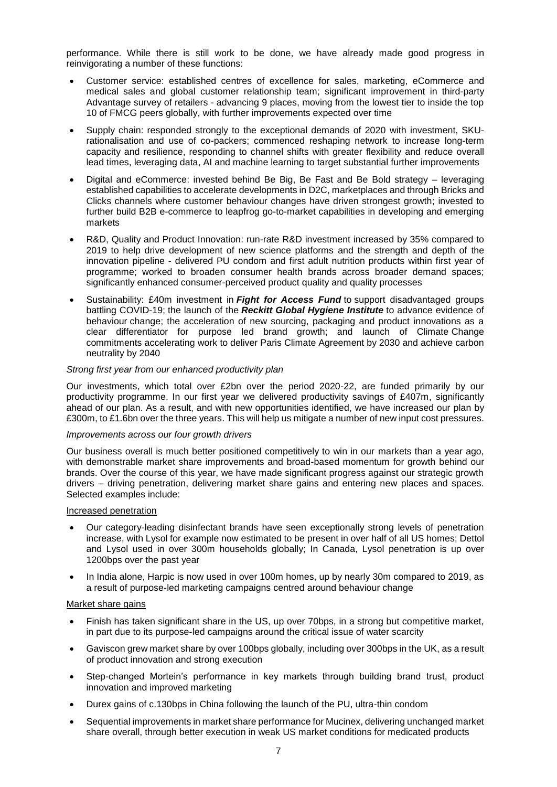performance. While there is still work to be done, we have already made good progress in reinvigorating a number of these functions:

- Customer service: established centres of excellence for sales, marketing, eCommerce and medical sales and global customer relationship team; significant improvement in third-party Advantage survey of retailers - advancing 9 places, moving from the lowest tier to inside the top 10 of FMCG peers globally, with further improvements expected over time
- Supply chain: responded strongly to the exceptional demands of 2020 with investment, SKUrationalisation and use of co-packers; commenced reshaping network to increase long-term capacity and resilience, responding to channel shifts with greater flexibility and reduce overall lead times, leveraging data, AI and machine learning to target substantial further improvements
- Digital and eCommerce: invested behind Be Big, Be Fast and Be Bold strategy leveraging established capabilities to accelerate developments in D2C, marketplaces and through Bricks and Clicks channels where customer behaviour changes have driven strongest growth; invested to further build B2B e-commerce to leapfrog go-to-market capabilities in developing and emerging markets
- R&D, Quality and Product Innovation: run-rate R&D investment increased by 35% compared to 2019 to help drive development of new science platforms and the strength and depth of the innovation pipeline - delivered PU condom and first adult nutrition products within first year of programme; worked to broaden consumer health brands across broader demand spaces; significantly enhanced consumer-perceived product quality and quality processes
- Sustainability: £40m investment in *Fight for Access Fund* to support disadvantaged groups battling COVID-19; the launch of the *Reckitt Global Hygiene Institute* to advance evidence of behaviour change; the acceleration of new sourcing, packaging and product innovations as a clear differentiator for purpose led brand growth; and launch of Climate Change commitments accelerating work to deliver Paris Climate Agreement by 2030 and achieve carbon neutrality by 2040

#### *Strong first year from our enhanced productivity plan*

Our investments, which total over £2bn over the period 2020-22, are funded primarily by our productivity programme. In our first year we delivered productivity savings of £407m, significantly ahead of our plan. As a result, and with new opportunities identified, we have increased our plan by £300m, to £1.6bn over the three years. This will help us mitigate a number of new input cost pressures.

#### *Improvements across our four growth drivers*

Our business overall is much better positioned competitively to win in our markets than a year ago, with demonstrable market share improvements and broad-based momentum for growth behind our brands. Over the course of this year, we have made significant progress against our strategic growth drivers – driving penetration, delivering market share gains and entering new places and spaces. Selected examples include:

#### Increased penetration

- Our category-leading disinfectant brands have seen exceptionally strong levels of penetration increase, with Lysol for example now estimated to be present in over half of all US homes; Dettol and Lysol used in over 300m households globally; In Canada, Lysol penetration is up over 1200bps over the past year
- In India alone, Harpic is now used in over 100m homes, up by nearly 30m compared to 2019, as a result of purpose-led marketing campaigns centred around behaviour change

#### Market share gains

- Finish has taken significant share in the US, up over 70bps, in a strong but competitive market, in part due to its purpose-led campaigns around the critical issue of water scarcity
- Gaviscon grew market share by over 100bps globally, including over 300bps in the UK, as a result of product innovation and strong execution
- Step-changed Mortein's performance in key markets through building brand trust, product innovation and improved marketing
- Durex gains of c.130bps in China following the launch of the PU, ultra-thin condom
- Sequential improvements in market share performance for Mucinex, delivering unchanged market share overall, through better execution in weak US market conditions for medicated products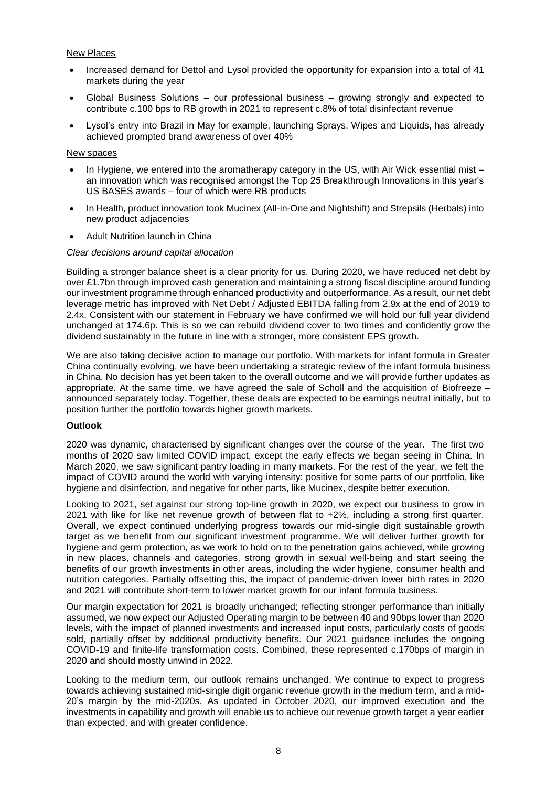#### New Places

- Increased demand for Dettol and Lysol provided the opportunity for expansion into a total of 41 markets during the year
- Global Business Solutions our professional business growing strongly and expected to contribute c.100 bps to RB growth in 2021 to represent c.8% of total disinfectant revenue
- Lysol's entry into Brazil in May for example, launching Sprays, Wipes and Liquids, has already achieved prompted brand awareness of over 40%

#### New spaces

- In Hygiene, we entered into the aromatherapy category in the US, with Air Wick essential mist an innovation which was recognised amongst the Top 25 Breakthrough Innovations in this year's US BASES awards – four of which were RB products
- In Health, product innovation took Mucinex (All-in-One and Nightshift) and Strepsils (Herbals) into new product adjacencies
- Adult Nutrition launch in China

#### *Clear decisions around capital allocation*

Building a stronger balance sheet is a clear priority for us. During 2020, we have reduced net debt by over £1.7bn through improved cash generation and maintaining a strong fiscal discipline around funding our investment programme through enhanced productivity and outperformance. As a result, our net debt leverage metric has improved with Net Debt / Adjusted EBITDA falling from 2.9x at the end of 2019 to 2.4x. Consistent with our statement in February we have confirmed we will hold our full year dividend unchanged at 174.6p. This is so we can rebuild dividend cover to two times and confidently grow the dividend sustainably in the future in line with a stronger, more consistent EPS growth.

We are also taking decisive action to manage our portfolio. With markets for infant formula in Greater China continually evolving, we have been undertaking a strategic review of the infant formula business in China. No decision has yet been taken to the overall outcome and we will provide further updates as appropriate. At the same time, we have agreed the sale of Scholl and the acquisition of Biofreeze – announced separately today. Together, these deals are expected to be earnings neutral initially, but to position further the portfolio towards higher growth markets.

#### **Outlook**

2020 was dynamic, characterised by significant changes over the course of the year. The first two months of 2020 saw limited COVID impact, except the early effects we began seeing in China. In March 2020, we saw significant pantry loading in many markets. For the rest of the year, we felt the impact of COVID around the world with varying intensity: positive for some parts of our portfolio, like hygiene and disinfection, and negative for other parts, like Mucinex, despite better execution.

Looking to 2021, set against our strong top-line growth in 2020, we expect our business to grow in 2021 with like for like net revenue growth of between flat to +2%, including a strong first quarter. Overall, we expect continued underlying progress towards our mid-single digit sustainable growth target as we benefit from our significant investment programme. We will deliver further growth for hygiene and germ protection, as we work to hold on to the penetration gains achieved, while growing in new places, channels and categories, strong growth in sexual well-being and start seeing the benefits of our growth investments in other areas, including the wider hygiene, consumer health and nutrition categories. Partially offsetting this, the impact of pandemic-driven lower birth rates in 2020 and 2021 will contribute short-term to lower market growth for our infant formula business.

Our margin expectation for 2021 is broadly unchanged; reflecting stronger performance than initially assumed, we now expect our Adjusted Operating margin to be between 40 and 90bps lower than 2020 levels, with the impact of planned investments and increased input costs, particularly costs of goods sold, partially offset by additional productivity benefits. Our 2021 guidance includes the ongoing COVID-19 and finite-life transformation costs. Combined, these represented c.170bps of margin in 2020 and should mostly unwind in 2022.

Looking to the medium term, our outlook remains unchanged. We continue to expect to progress towards achieving sustained mid-single digit organic revenue growth in the medium term, and a mid-20's margin by the mid-2020s. As updated in October 2020, our improved execution and the investments in capability and growth will enable us to achieve our revenue growth target a year earlier than expected, and with greater confidence.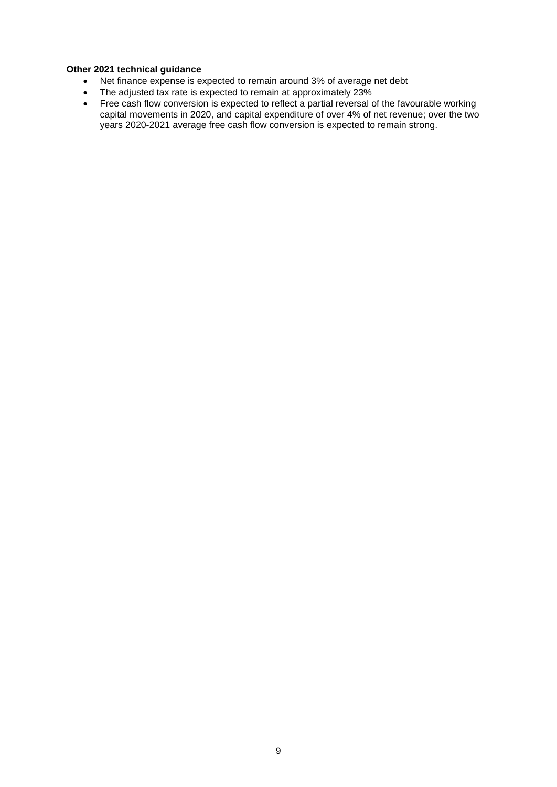#### **Other 2021 technical guidance**

- Net finance expense is expected to remain around 3% of average net debt
- The adjusted tax rate is expected to remain at approximately 23%
- Free cash flow conversion is expected to reflect a partial reversal of the favourable working capital movements in 2020, and capital expenditure of over 4% of net revenue; over the two years 2020-2021 average free cash flow conversion is expected to remain strong.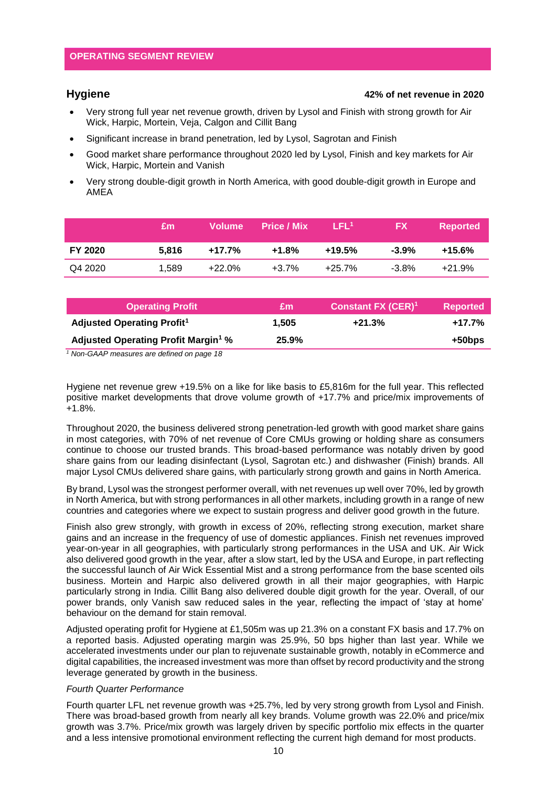#### **Hygiene 42% of net revenue in 2020**

- Very strong full year net revenue growth, driven by Lysol and Finish with strong growth for Air Wick, Harpic, Mortein, Veja, Calgon and Cillit Bang
- Significant increase in brand penetration, led by Lysol, Sagrotan and Finish
- Good market share performance throughout 2020 led by Lysol, Finish and key markets for Air Wick, Harpic, Mortein and Vanish
- Very strong double-digit growth in North America, with good double-digit growth in Europe and AMEA

|                | £m    | Volume    | <b>Price / Mix</b> | LEL <sup>1</sup> | <b>FX</b> | <b>Reported</b> |
|----------------|-------|-----------|--------------------|------------------|-----------|-----------------|
| <b>FY 2020</b> | 5.816 | +17.7%    | +1.8%              | +19.5%           | $-3.9\%$  | +15.6%          |
| Q4 2020        | 1.589 | $+22.0\%$ | $+3.7%$            | +25.7%           | $-3.8\%$  | $+21.9%$        |

| £m    | <b>Constant FX (CER)<sup>1</sup></b> | <b>Reported</b> |
|-------|--------------------------------------|-----------------|
| 1.505 | $+21.3%$                             | $+17.7%$        |
| 25.9% |                                      | +50bps          |
|       |                                      |                 |

*<sup>1</sup> Non-GAAP measures are defined on page 18*

Hygiene net revenue grew +19.5% on a like for like basis to £5,816m for the full year. This reflected positive market developments that drove volume growth of +17.7% and price/mix improvements of +1.8%.

Throughout 2020, the business delivered strong penetration-led growth with good market share gains in most categories, with 70% of net revenue of Core CMUs growing or holding share as consumers continue to choose our trusted brands. This broad-based performance was notably driven by good share gains from our leading disinfectant (Lysol, Sagrotan etc.) and dishwasher (Finish) brands. All major Lysol CMUs delivered share gains, with particularly strong growth and gains in North America.

By brand, Lysol was the strongest performer overall, with net revenues up well over 70%, led by growth in North America, but with strong performances in all other markets, including growth in a range of new countries and categories where we expect to sustain progress and deliver good growth in the future.

Finish also grew strongly, with growth in excess of 20%, reflecting strong execution, market share gains and an increase in the frequency of use of domestic appliances. Finish net revenues improved year-on-year in all geographies, with particularly strong performances in the USA and UK. Air Wick also delivered good growth in the year, after a slow start, led by the USA and Europe, in part reflecting the successful launch of Air Wick Essential Mist and a strong performance from the base scented oils business. Mortein and Harpic also delivered growth in all their major geographies, with Harpic particularly strong in India. Cillit Bang also delivered double digit growth for the year. Overall, of our power brands, only Vanish saw reduced sales in the year, reflecting the impact of 'stay at home' behaviour on the demand for stain removal.

Adjusted operating profit for Hygiene at £1,505m was up 21.3% on a constant FX basis and 17.7% on a reported basis. Adjusted operating margin was 25.9%, 50 bps higher than last year. While we accelerated investments under our plan to rejuvenate sustainable growth, notably in eCommerce and digital capabilities, the increased investment was more than offset by record productivity and the strong leverage generated by growth in the business.

#### *Fourth Quarter Performance*

Fourth quarter LFL net revenue growth was +25.7%, led by very strong growth from Lysol and Finish. There was broad-based growth from nearly all key brands. Volume growth was 22.0% and price/mix growth was 3.7%. Price/mix growth was largely driven by specific portfolio mix effects in the quarter and a less intensive promotional environment reflecting the current high demand for most products.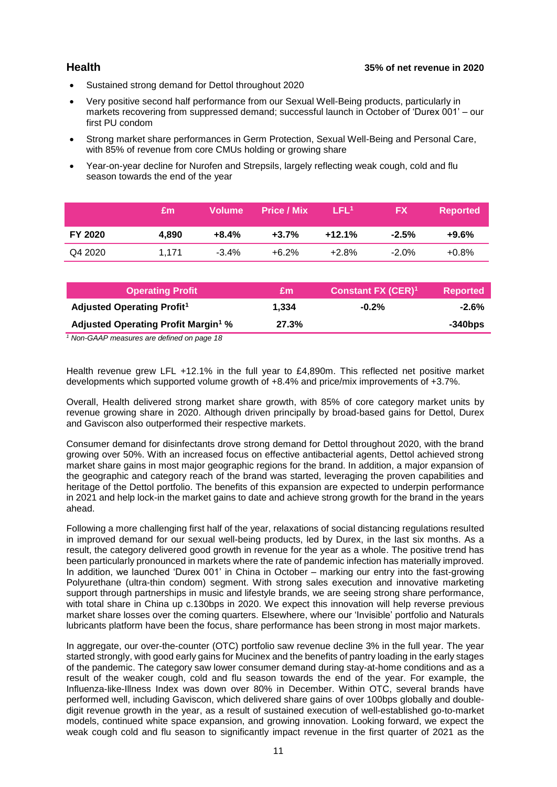- Sustained strong demand for Dettol throughout 2020
- Very positive second half performance from our Sexual Well-Being products, particularly in markets recovering from suppressed demand; successful launch in October of 'Durex 001' – our first PU condom
- Strong market share performances in Germ Protection, Sexual Well-Being and Personal Care, with 85% of revenue from core CMUs holding or growing share
- Year-on-year decline for Nurofen and Strepsils, largely reflecting weak cough, cold and flu season towards the end of the year

|                | £m    | <b>Volume</b> | <b>Price / Mix</b> | LEL'     | <b>FX</b> | <b>Reported</b> |
|----------------|-------|---------------|--------------------|----------|-----------|-----------------|
| <b>FY 2020</b> | 4.890 | $+8.4\%$      | $+3.7%$            | $+12.1%$ | $-2.5%$   | $+9.6\%$        |
| Q4 2020        | 1.171 | $-3.4\%$      | $+6.2\%$           | $+2.8\%$ | $-2.0\%$  | $+0.8\%$        |

| <b>Operating Profit</b>                                                                                                    | £m    | <b>Constant FX (CER)<sup>1</sup></b> | <b>Reported</b> |
|----------------------------------------------------------------------------------------------------------------------------|-------|--------------------------------------|-----------------|
| Adjusted Operating Profit <sup>1</sup>                                                                                     | 1.334 | $-0.2\%$                             | -2.6%           |
| <b>Adjusted Operating Profit Margin<sup>1</sup> %</b>                                                                      | 27.3% |                                      | $-340$ bps      |
| $M_{\odot}$ $\sim$ 0.4.40 $\sim$ $\sim$ $\sim$ $\sim$ $\sim$ $\sim$ $M_{\odot}$ $\sim$ $M_{\odot}$ $\sim$ $\sim$ $\sim$ 40 |       |                                      |                 |

*<sup>1</sup> Non-GAAP measures are defined on page 18*

Health revenue grew LFL +12.1% in the full year to £4,890m. This reflected net positive market developments which supported volume growth of +8.4% and price/mix improvements of +3.7%.

Overall, Health delivered strong market share growth, with 85% of core category market units by revenue growing share in 2020. Although driven principally by broad-based gains for Dettol, Durex and Gaviscon also outperformed their respective markets.

Consumer demand for disinfectants drove strong demand for Dettol throughout 2020, with the brand growing over 50%. With an increased focus on effective antibacterial agents, Dettol achieved strong market share gains in most major geographic regions for the brand. In addition, a major expansion of the geographic and category reach of the brand was started, leveraging the proven capabilities and heritage of the Dettol portfolio. The benefits of this expansion are expected to underpin performance in 2021 and help lock-in the market gains to date and achieve strong growth for the brand in the years ahead.

Following a more challenging first half of the year, relaxations of social distancing regulations resulted in improved demand for our sexual well-being products, led by Durex, in the last six months. As a result, the category delivered good growth in revenue for the year as a whole. The positive trend has been particularly pronounced in markets where the rate of pandemic infection has materially improved. In addition, we launched 'Durex 001' in China in October – marking our entry into the fast-growing Polyurethane (ultra-thin condom) segment. With strong sales execution and innovative marketing support through partnerships in music and lifestyle brands, we are seeing strong share performance, with total share in China up c.130bps in 2020. We expect this innovation will help reverse previous market share losses over the coming quarters. Elsewhere, where our 'Invisible' portfolio and Naturals lubricants platform have been the focus, share performance has been strong in most major markets.

In aggregate, our over-the-counter (OTC) portfolio saw revenue decline 3% in the full year. The year started strongly, with good early gains for Mucinex and the benefits of pantry loading in the early stages of the pandemic. The category saw lower consumer demand during stay-at-home conditions and as a result of the weaker cough, cold and flu season towards the end of the year. For example, the Influenza-like-Illness Index was down over 80% in December. Within OTC, several brands have performed well, including Gaviscon, which delivered share gains of over 100bps globally and doubledigit revenue growth in the year, as a result of sustained execution of well-established go-to-market models, continued white space expansion, and growing innovation. Looking forward, we expect the weak cough cold and flu season to significantly impact revenue in the first quarter of 2021 as the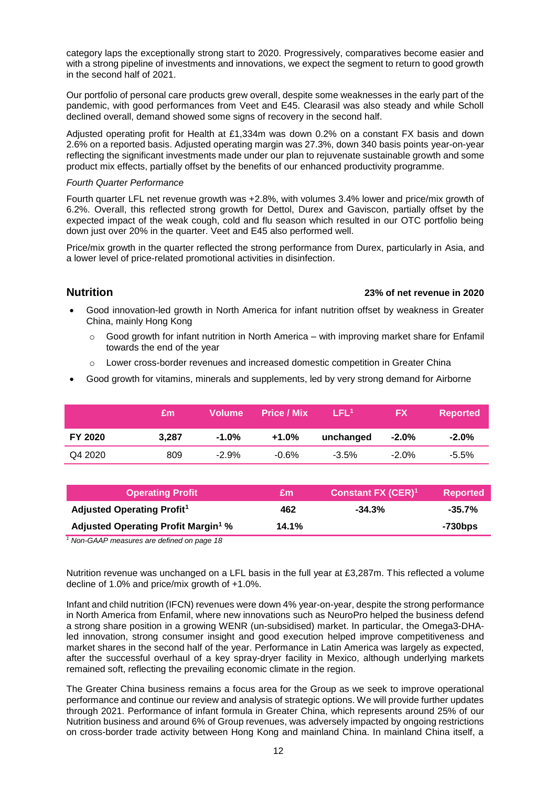category laps the exceptionally strong start to 2020. Progressively, comparatives become easier and with a strong pipeline of investments and innovations, we expect the segment to return to good growth in the second half of 2021.

Our portfolio of personal care products grew overall, despite some weaknesses in the early part of the pandemic, with good performances from Veet and E45. Clearasil was also steady and while Scholl declined overall, demand showed some signs of recovery in the second half.

Adjusted operating profit for Health at £1,334m was down 0.2% on a constant FX basis and down 2.6% on a reported basis. Adjusted operating margin was 27.3%, down 340 basis points year-on-year reflecting the significant investments made under our plan to rejuvenate sustainable growth and some product mix effects, partially offset by the benefits of our enhanced productivity programme.

#### *Fourth Quarter Performance*

Fourth quarter LFL net revenue growth was +2.8%, with volumes 3.4% lower and price/mix growth of 6.2%. Overall, this reflected strong growth for Dettol, Durex and Gaviscon, partially offset by the expected impact of the weak cough, cold and flu season which resulted in our OTC portfolio being down just over 20% in the quarter. Veet and E45 also performed well.

Price/mix growth in the quarter reflected the strong performance from Durex, particularly in Asia, and a lower level of price-related promotional activities in disinfection.

#### **Nutrition 23% of net revenue in 2020**

- Good innovation-led growth in North America for infant nutrition offset by weakness in Greater China, mainly Hong Kong
	- o Good growth for infant nutrition in North America with improving market share for Enfamil towards the end of the year
	- o Lower cross-border revenues and increased domestic competition in Greater China
- Good growth for vitamins, minerals and supplements, led by very strong demand for Airborne

|                | £m    | <b>Volume</b> | <b>Price / Mix</b> | LFL <sup>1</sup> | FХ       | <b>Reported</b> |
|----------------|-------|---------------|--------------------|------------------|----------|-----------------|
| <b>FY 2020</b> | 3.287 | -1.0%         | +1.0%              | unchanged        | $-2.0\%$ | $-2.0\%$        |
| Q4 2020        | 809   | $-2.9%$       | -0.6%              | $-3.5\%$         | $-2.0\%$ | $-5.5\%$        |

| <b>Operating Profit</b>                               | £m    | <b>Constant FX (CER)<sup>1</sup></b> | <b>Reported</b> |
|-------------------------------------------------------|-------|--------------------------------------|-----------------|
| Adjusted Operating Profit <sup>1</sup>                | 462   | $-34.3%$                             | $-35.7%$        |
| <b>Adjusted Operating Profit Margin<sup>1</sup> %</b> | 14.1% |                                      | -730bps         |

*<sup>1</sup> Non-GAAP measures are defined on page 18*

Nutrition revenue was unchanged on a LFL basis in the full year at £3,287m. This reflected a volume decline of 1.0% and price/mix growth of +1.0%.

Infant and child nutrition (IFCN) revenues were down 4% year-on-year, despite the strong performance in North America from Enfamil, where new innovations such as NeuroPro helped the business defend a strong share position in a growing WENR (un-subsidised) market. In particular, the Omega3-DHAled innovation, strong consumer insight and good execution helped improve competitiveness and market shares in the second half of the year. Performance in Latin America was largely as expected, after the successful overhaul of a key spray-dryer facility in Mexico, although underlying markets remained soft, reflecting the prevailing economic climate in the region.

The Greater China business remains a focus area for the Group as we seek to improve operational performance and continue our review and analysis of strategic options. We will provide further updates through 2021. Performance of infant formula in Greater China, which represents around 25% of our Nutrition business and around 6% of Group revenues, was adversely impacted by ongoing restrictions on cross-border trade activity between Hong Kong and mainland China. In mainland China itself, a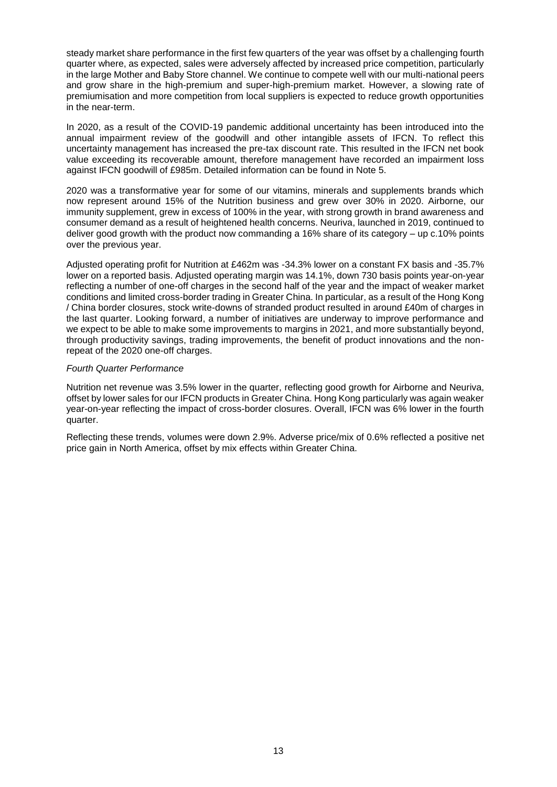steady market share performance in the first few quarters of the year was offset by a challenging fourth quarter where, as expected, sales were adversely affected by increased price competition, particularly in the large Mother and Baby Store channel. We continue to compete well with our multi-national peers and grow share in the high-premium and super-high-premium market. However, a slowing rate of premiumisation and more competition from local suppliers is expected to reduce growth opportunities in the near-term.

In 2020, as a result of the COVID-19 pandemic additional uncertainty has been introduced into the annual impairment review of the goodwill and other intangible assets of IFCN. To reflect this uncertainty management has increased the pre-tax discount rate. This resulted in the IFCN net book value exceeding its recoverable amount, therefore management have recorded an impairment loss against IFCN goodwill of £985m. Detailed information can be found in Note 5.

2020 was a transformative year for some of our vitamins, minerals and supplements brands which now represent around 15% of the Nutrition business and grew over 30% in 2020. Airborne, our immunity supplement, grew in excess of 100% in the year, with strong growth in brand awareness and consumer demand as a result of heightened health concerns. Neuriva, launched in 2019, continued to deliver good growth with the product now commanding a 16% share of its category – up c.10% points over the previous year.

Adjusted operating profit for Nutrition at £462m was -34.3% lower on a constant FX basis and -35.7% lower on a reported basis. Adjusted operating margin was 14.1%, down 730 basis points year-on-year reflecting a number of one-off charges in the second half of the year and the impact of weaker market conditions and limited cross-border trading in Greater China. In particular, as a result of the Hong Kong / China border closures, stock write-downs of stranded product resulted in around £40m of charges in the last quarter. Looking forward, a number of initiatives are underway to improve performance and we expect to be able to make some improvements to margins in 2021, and more substantially beyond, through productivity savings, trading improvements, the benefit of product innovations and the nonrepeat of the 2020 one-off charges.

#### *Fourth Quarter Performance*

Nutrition net revenue was 3.5% lower in the quarter, reflecting good growth for Airborne and Neuriva, offset by lower sales for our IFCN products in Greater China. Hong Kong particularly was again weaker year-on-year reflecting the impact of cross-border closures. Overall, IFCN was 6% lower in the fourth quarter.

Reflecting these trends, volumes were down 2.9%. Adverse price/mix of 0.6% reflected a positive net price gain in North America, offset by mix effects within Greater China.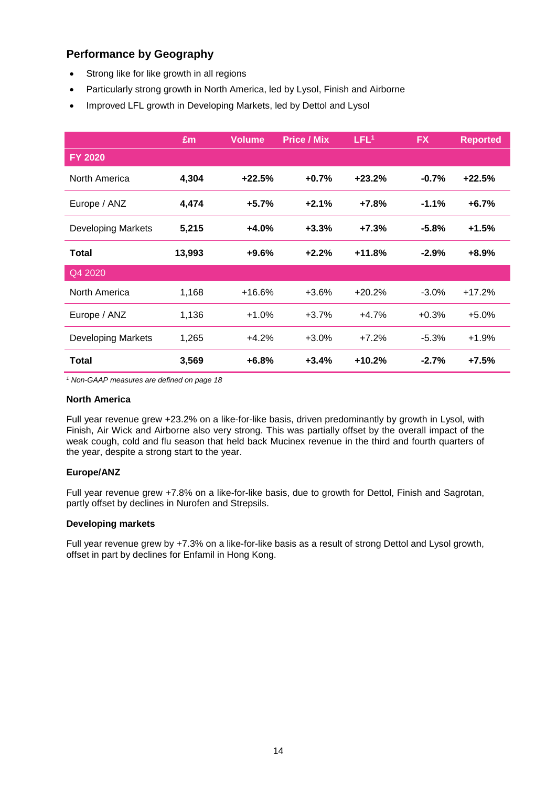# **Performance by Geography**

- Strong like for like growth in all regions
- Particularly strong growth in North America, led by Lysol, Finish and Airborne
- Improved LFL growth in Developing Markets, led by Dettol and Lysol

|                           | £m     | <b>Volume</b> | <b>Price / Mix</b> | LFL <sup>1</sup> | <b>FX</b> | <b>Reported</b> |
|---------------------------|--------|---------------|--------------------|------------------|-----------|-----------------|
| <b>FY 2020</b>            |        |               |                    |                  |           |                 |
| North America             | 4,304  | $+22.5%$      | $+0.7%$            | $+23.2%$         | $-0.7%$   | $+22.5%$        |
| Europe / ANZ              | 4,474  | $+5.7%$       | $+2.1%$            | $+7.8%$          | $-1.1%$   | $+6.7%$         |
| <b>Developing Markets</b> | 5,215  | $+4.0%$       | $+3.3%$            | $+7.3%$          | $-5.8%$   | $+1.5%$         |
| Total                     | 13,993 | $+9.6%$       | $+2.2%$            | $+11.8%$         | $-2.9%$   | $+8.9%$         |
| Q4 2020                   |        |               |                    |                  |           |                 |
| North America             | 1,168  | $+16.6%$      | $+3.6%$            | $+20.2%$         | $-3.0\%$  | $+17.2%$        |
| Europe / ANZ              | 1,136  | $+1.0%$       | $+3.7%$            | $+4.7%$          | $+0.3%$   | $+5.0%$         |
| <b>Developing Markets</b> | 1,265  | $+4.2%$       | $+3.0%$            | $+7.2%$          | $-5.3%$   | $+1.9%$         |
| <b>Total</b>              | 3,569  | $+6.8%$       | $+3.4%$            | $+10.2%$         | $-2.7%$   | $+7.5%$         |

*<sup>1</sup> Non-GAAP measures are defined on page 18*

#### **North America**

Full year revenue grew +23.2% on a like-for-like basis, driven predominantly by growth in Lysol, with Finish, Air Wick and Airborne also very strong. This was partially offset by the overall impact of the weak cough, cold and flu season that held back Mucinex revenue in the third and fourth quarters of the year, despite a strong start to the year.

#### **Europe/ANZ**

Full year revenue grew +7.8% on a like-for-like basis, due to growth for Dettol, Finish and Sagrotan, partly offset by declines in Nurofen and Strepsils.

#### **Developing markets**

Full year revenue grew by +7.3% on a like-for-like basis as a result of strong Dettol and Lysol growth, offset in part by declines for Enfamil in Hong Kong.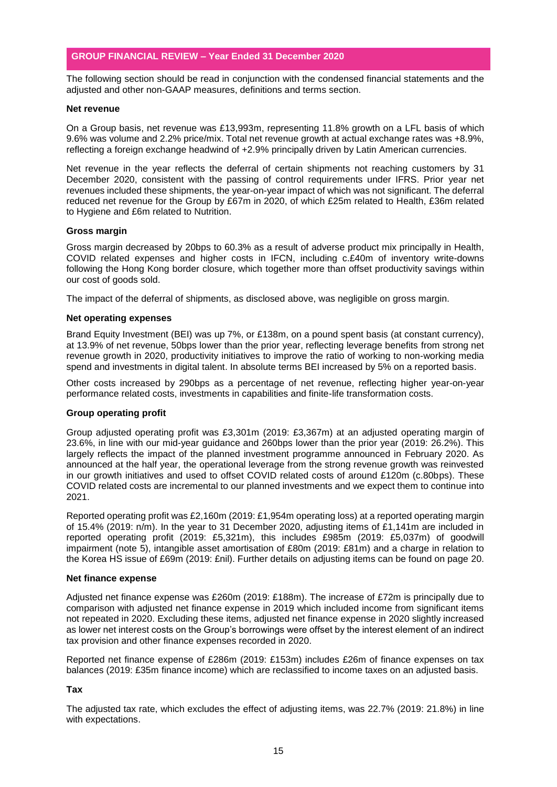The following section should be read in conjunction with the condensed financial statements and the adjusted and other non-GAAP measures, definitions and terms section.

#### **Net revenue**

On a Group basis, net revenue was £13,993m, representing 11.8% growth on a LFL basis of which 9.6% was volume and 2.2% price/mix. Total net revenue growth at actual exchange rates was +8.9%, reflecting a foreign exchange headwind of +2.9% principally driven by Latin American currencies.

Net revenue in the year reflects the deferral of certain shipments not reaching customers by 31 December 2020, consistent with the passing of control requirements under IFRS. Prior year net revenues included these shipments, the year-on-year impact of which was not significant. The deferral reduced net revenue for the Group by £67m in 2020, of which £25m related to Health, £36m related to Hygiene and £6m related to Nutrition.

#### **Gross margin**

Gross margin decreased by 20bps to 60.3% as a result of adverse product mix principally in Health, COVID related expenses and higher costs in IFCN, including c.£40m of inventory write-downs following the Hong Kong border closure, which together more than offset productivity savings within our cost of goods sold.

The impact of the deferral of shipments, as disclosed above, was negligible on gross margin.

#### **Net operating expenses**

Brand Equity Investment (BEI) was up 7%, or £138m, on a pound spent basis (at constant currency), at 13.9% of net revenue, 50bps lower than the prior year, reflecting leverage benefits from strong net revenue growth in 2020, productivity initiatives to improve the ratio of working to non-working media spend and investments in digital talent. In absolute terms BEI increased by 5% on a reported basis.

Other costs increased by 290bps as a percentage of net revenue, reflecting higher year-on-year performance related costs, investments in capabilities and finite-life transformation costs.

#### **Group operating profit**

Group adjusted operating profit was £3,301m (2019: £3,367m) at an adjusted operating margin of 23.6%, in line with our mid-year guidance and 260bps lower than the prior year (2019: 26.2%). This largely reflects the impact of the planned investment programme announced in February 2020. As announced at the half year, the operational leverage from the strong revenue growth was reinvested in our growth initiatives and used to offset COVID related costs of around £120m (c.80bps). These COVID related costs are incremental to our planned investments and we expect them to continue into 2021.

Reported operating profit was £2,160m (2019: £1,954m operating loss) at a reported operating margin of 15.4% (2019: n/m). In the year to 31 December 2020, adjusting items of £1,141m are included in reported operating profit (2019: £5,321m), this includes £985m (2019: £5,037m) of goodwill impairment (note 5), intangible asset amortisation of £80m (2019: £81m) and a charge in relation to the Korea HS issue of £69m (2019: £nil). Further details on adjusting items can be found on page 20.

#### **Net finance expense**

Adjusted net finance expense was £260m (2019: £188m). The increase of £72m is principally due to comparison with adjusted net finance expense in 2019 which included income from significant items not repeated in 2020. Excluding these items, adjusted net finance expense in 2020 slightly increased as lower net interest costs on the Group's borrowings were offset by the interest element of an indirect tax provision and other finance expenses recorded in 2020.

Reported net finance expense of £286m (2019: £153m) includes £26m of finance expenses on tax balances (2019: £35m finance income) which are reclassified to income taxes on an adjusted basis.

#### **Tax**

The adjusted tax rate, which excludes the effect of adjusting items, was 22.7% (2019: 21.8%) in line with expectations.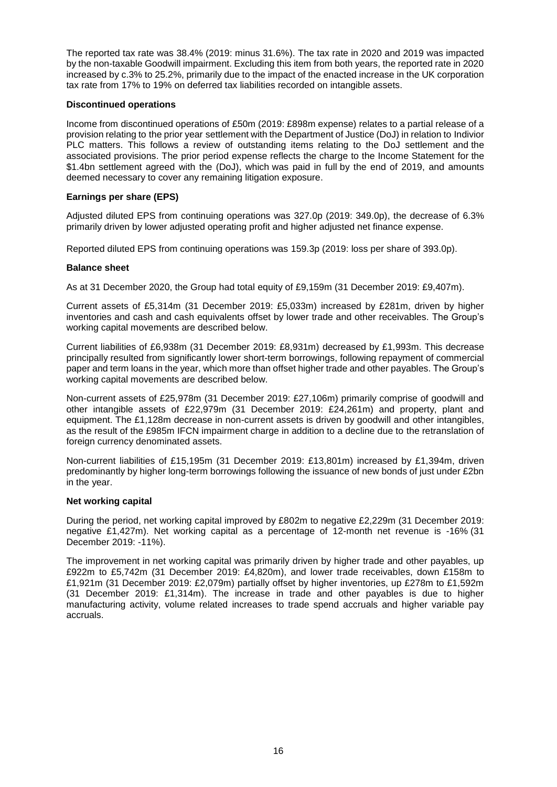The reported tax rate was 38.4% (2019: minus 31.6%). The tax rate in 2020 and 2019 was impacted by the non-taxable Goodwill impairment. Excluding this item from both years, the reported rate in 2020 increased by c.3% to 25.2%, primarily due to the impact of the enacted increase in the UK corporation tax rate from 17% to 19% on deferred tax liabilities recorded on intangible assets.

#### **Discontinued operations**

Income from discontinued operations of £50m (2019: £898m expense) relates to a partial release of a provision relating to the prior year settlement with the Department of Justice (DoJ) in relation to Indivior PLC matters. This follows a review of outstanding items relating to the DoJ settlement and the associated provisions. The prior period expense reflects the charge to the Income Statement for the \$1.4bn settlement agreed with the (DoJ), which was paid in full by the end of 2019, and amounts deemed necessary to cover any remaining litigation exposure.

#### **Earnings per share (EPS)**

Adjusted diluted EPS from continuing operations was 327.0p (2019: 349.0p), the decrease of 6.3% primarily driven by lower adjusted operating profit and higher adjusted net finance expense.

Reported diluted EPS from continuing operations was 159.3p (2019: loss per share of 393.0p).

#### **Balance sheet**

As at 31 December 2020, the Group had total equity of £9,159m (31 December 2019: £9,407m).

Current assets of £5,314m (31 December 2019: £5,033m) increased by £281m, driven by higher inventories and cash and cash equivalents offset by lower trade and other receivables. The Group's working capital movements are described below.

Current liabilities of £6,938m (31 December 2019: £8,931m) decreased by £1,993m. This decrease principally resulted from significantly lower short-term borrowings, following repayment of commercial paper and term loans in the year, which more than offset higher trade and other payables. The Group's working capital movements are described below.

Non-current assets of £25,978m (31 December 2019: £27,106m) primarily comprise of goodwill and other intangible assets of £22,979m (31 December 2019: £24,261m) and property, plant and equipment. The £1,128m decrease in non-current assets is driven by goodwill and other intangibles, as the result of the £985m IFCN impairment charge in addition to a decline due to the retranslation of foreign currency denominated assets.

Non-current liabilities of £15,195m (31 December 2019: £13,801m) increased by £1,394m, driven predominantly by higher long-term borrowings following the issuance of new bonds of just under £2bn in the year.

#### **Net working capital**

During the period, net working capital improved by £802m to negative £2,229m (31 December 2019: negative £1,427m). Net working capital as a percentage of 12-month net revenue is -16% (31 December 2019: -11%).

The improvement in net working capital was primarily driven by higher trade and other payables, up £922m to £5,742m (31 December 2019: £4,820m), and lower trade receivables, down £158m to £1,921m (31 December 2019: £2,079m) partially offset by higher inventories, up £278m to £1,592m (31 December 2019: £1,314m). The increase in trade and other payables is due to higher manufacturing activity, volume related increases to trade spend accruals and higher variable pay accruals.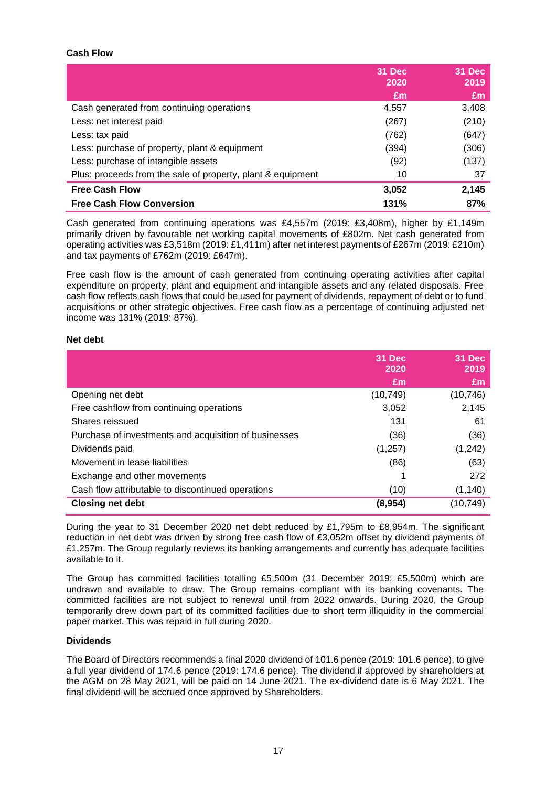#### **Cash Flow**

|                                                             | 31 Dec<br>2020 | 31 Dec<br>2019 |
|-------------------------------------------------------------|----------------|----------------|
|                                                             | £m             | £m             |
| Cash generated from continuing operations                   | 4,557          | 3,408          |
| Less: net interest paid                                     | (267)          | (210)          |
| Less: tax paid                                              | (762)          | (647)          |
| Less: purchase of property, plant & equipment               | (394)          | (306)          |
| Less: purchase of intangible assets                         | (92)           | (137)          |
| Plus: proceeds from the sale of property, plant & equipment | 10             | 37             |
| <b>Free Cash Flow</b>                                       | 3,052          | 2,145          |
| <b>Free Cash Flow Conversion</b>                            | 131%           | 87%            |

Cash generated from continuing operations was £4,557m (2019: £3,408m), higher by £1,149m primarily driven by favourable net working capital movements of £802m. Net cash generated from operating activities was £3,518m (2019: £1,411m) after net interest payments of £267m (2019: £210m) and tax payments of £762m (2019: £647m).

Free cash flow is the amount of cash generated from continuing operating activities after capital expenditure on property, plant and equipment and intangible assets and any related disposals. Free cash flow reflects cash flows that could be used for payment of dividends, repayment of debt or to fund acquisitions or other strategic objectives. Free cash flow as a percentage of continuing adjusted net income was 131% (2019: 87%).

#### **Net debt**

|                                                       | 31 Dec<br>2020 | 31 Dec<br>2019 |
|-------------------------------------------------------|----------------|----------------|
|                                                       | £m             | £m             |
| Opening net debt                                      | (10, 749)      | (10, 746)      |
| Free cashflow from continuing operations              | 3,052          | 2,145          |
| Shares reissued                                       | 131            | 61             |
| Purchase of investments and acquisition of businesses | (36)           | (36)           |
| Dividends paid                                        | (1,257)        | (1,242)        |
| Movement in lease liabilities                         | (86)           | (63)           |
| Exchange and other movements                          |                | 272            |
| Cash flow attributable to discontinued operations     | (10)           | (1, 140)       |
| <b>Closing net debt</b>                               | (8,954)        | (10,749)       |

During the year to 31 December 2020 net debt reduced by £1,795m to £8,954m. The significant reduction in net debt was driven by strong free cash flow of £3,052m offset by dividend payments of £1,257m. The Group regularly reviews its banking arrangements and currently has adequate facilities available to it.

The Group has committed facilities totalling £5,500m (31 December 2019: £5,500m) which are undrawn and available to draw. The Group remains compliant with its banking covenants. The committed facilities are not subject to renewal until from 2022 onwards. During 2020, the Group temporarily drew down part of its committed facilities due to short term illiquidity in the commercial paper market. This was repaid in full during 2020.

#### **Dividends**

The Board of Directors recommends a final 2020 dividend of 101.6 pence (2019: 101.6 pence), to give a full year dividend of 174.6 pence (2019: 174.6 pence). The dividend if approved by shareholders at the AGM on 28 May 2021, will be paid on 14 June 2021. The ex-dividend date is 6 May 2021. The final dividend will be accrued once approved by Shareholders.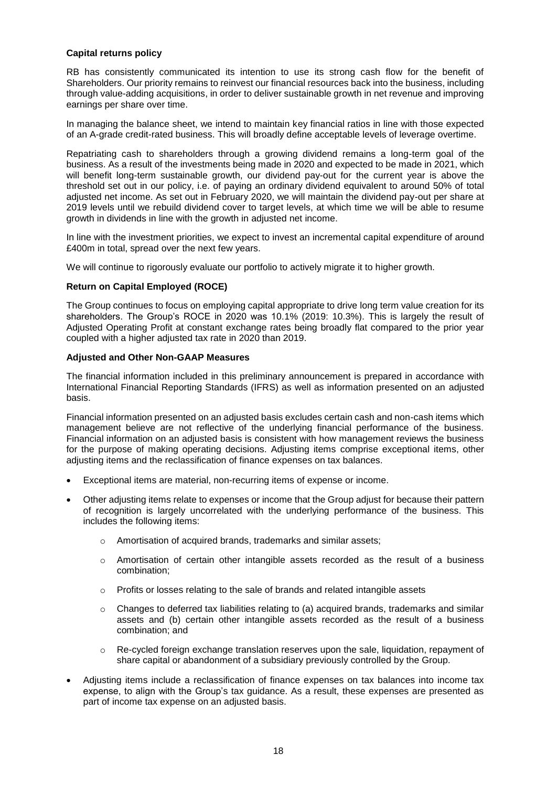#### **Capital returns policy**

RB has consistently communicated its intention to use its strong cash flow for the benefit of Shareholders. Our priority remains to reinvest our financial resources back into the business, including through value-adding acquisitions, in order to deliver sustainable growth in net revenue and improving earnings per share over time.

In managing the balance sheet, we intend to maintain key financial ratios in line with those expected of an A-grade credit-rated business. This will broadly define acceptable levels of leverage overtime.

Repatriating cash to shareholders through a growing dividend remains a long-term goal of the business. As a result of the investments being made in 2020 and expected to be made in 2021, which will benefit long-term sustainable growth, our dividend pay-out for the current year is above the threshold set out in our policy, i.e. of paying an ordinary dividend equivalent to around 50% of total adjusted net income. As set out in February 2020, we will maintain the dividend pay-out per share at 2019 levels until we rebuild dividend cover to target levels, at which time we will be able to resume growth in dividends in line with the growth in adjusted net income.

In line with the investment priorities, we expect to invest an incremental capital expenditure of around £400m in total, spread over the next few years.

We will continue to rigorously evaluate our portfolio to actively migrate it to higher growth.

#### **Return on Capital Employed (ROCE)**

The Group continues to focus on employing capital appropriate to drive long term value creation for its shareholders. The Group's ROCE in 2020 was 10.1% (2019: 10.3%). This is largely the result of Adjusted Operating Profit at constant exchange rates being broadly flat compared to the prior year coupled with a higher adjusted tax rate in 2020 than 2019.

#### **Adjusted and Other Non-GAAP Measures**

The financial information included in this preliminary announcement is prepared in accordance with International Financial Reporting Standards (IFRS) as well as information presented on an adjusted basis.

Financial information presented on an adjusted basis excludes certain cash and non-cash items which management believe are not reflective of the underlying financial performance of the business. Financial information on an adjusted basis is consistent with how management reviews the business for the purpose of making operating decisions. Adjusting items comprise exceptional items, other adjusting items and the reclassification of finance expenses on tax balances.

- Exceptional items are material, non-recurring items of expense or income.
- Other adjusting items relate to expenses or income that the Group adjust for because their pattern of recognition is largely uncorrelated with the underlying performance of the business. This includes the following items:
	- o Amortisation of acquired brands, trademarks and similar assets;
	- o Amortisation of certain other intangible assets recorded as the result of a business combination;
	- o Profits or losses relating to the sale of brands and related intangible assets
	- $\circ$  Changes to deferred tax liabilities relating to (a) acquired brands, trademarks and similar assets and (b) certain other intangible assets recorded as the result of a business combination; and
	- o Re-cycled foreign exchange translation reserves upon the sale, liquidation, repayment of share capital or abandonment of a subsidiary previously controlled by the Group.
- Adjusting items include a reclassification of finance expenses on tax balances into income tax expense, to align with the Group's tax guidance. As a result, these expenses are presented as part of income tax expense on an adjusted basis.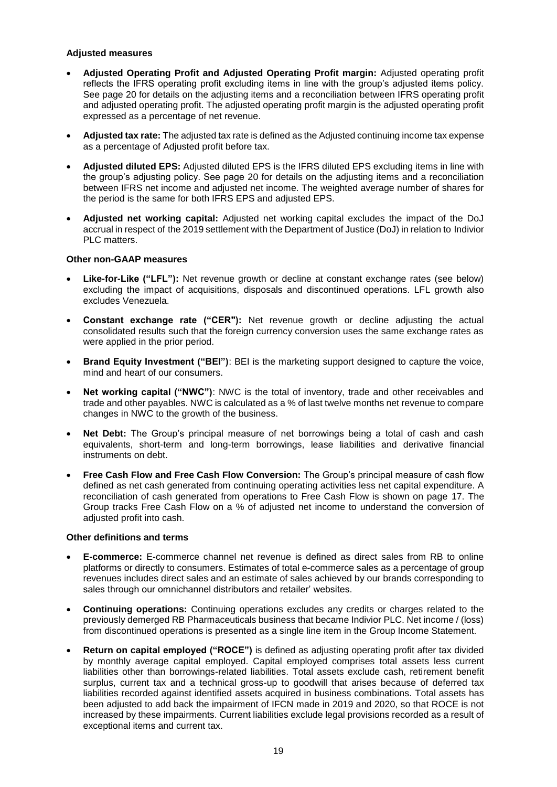#### **Adjusted measures**

- **Adjusted Operating Profit and Adjusted Operating Profit margin:** Adjusted operating profit reflects the IFRS operating profit excluding items in line with the group's adjusted items policy. See page 20 for details on the adjusting items and a reconciliation between IFRS operating profit and adjusted operating profit. The adjusted operating profit margin is the adjusted operating profit expressed as a percentage of net revenue.
- **Adjusted tax rate:** The adjusted tax rate is defined as the Adjusted continuing income tax expense as a percentage of Adjusted profit before tax.
- **Adjusted diluted EPS:** Adjusted diluted EPS is the IFRS diluted EPS excluding items in line with the group's adjusting policy. See page 20 for details on the adjusting items and a reconciliation between IFRS net income and adjusted net income. The weighted average number of shares for the period is the same for both IFRS EPS and adjusted EPS.
- **Adjusted net working capital:** Adjusted net working capital excludes the impact of the DoJ accrual in respect of the 2019 settlement with the Department of Justice (DoJ) in relation to Indivior PLC matters.

#### **Other non-GAAP measures**

- **Like-for-Like ("LFL"):** Net revenue growth or decline at constant exchange rates (see below) excluding the impact of acquisitions, disposals and discontinued operations. LFL growth also excludes Venezuela.
- **Constant exchange rate ("CER"):** Net revenue growth or decline adjusting the actual consolidated results such that the foreign currency conversion uses the same exchange rates as were applied in the prior period.
- **Brand Equity Investment ("BEI")**: BEI is the marketing support designed to capture the voice, mind and heart of our consumers.
- **Net working capital ("NWC")**: NWC is the total of inventory, trade and other receivables and trade and other payables. NWC is calculated as a % of last twelve months net revenue to compare changes in NWC to the growth of the business.
- **Net Debt:** The Group's principal measure of net borrowings being a total of cash and cash equivalents, short-term and long-term borrowings, lease liabilities and derivative financial instruments on debt.
- **Free Cash Flow and Free Cash Flow Conversion:** The Group's principal measure of cash flow defined as net cash generated from continuing operating activities less net capital expenditure. A reconciliation of cash generated from operations to Free Cash Flow is shown on page 17. The Group tracks Free Cash Flow on a % of adjusted net income to understand the conversion of adjusted profit into cash.

#### **Other definitions and terms**

- **E-commerce:** E-commerce channel net revenue is defined as direct sales from RB to online platforms or directly to consumers. Estimates of total e-commerce sales as a percentage of group revenues includes direct sales and an estimate of sales achieved by our brands corresponding to sales through our omnichannel distributors and retailer' websites.
- **Continuing operations:** Continuing operations excludes any credits or charges related to the previously demerged RB Pharmaceuticals business that became Indivior PLC. Net income / (loss) from discontinued operations is presented as a single line item in the Group Income Statement.
- **Return on capital employed ("ROCE")** is defined as adjusting operating profit after tax divided by monthly average capital employed. Capital employed comprises total assets less current liabilities other than borrowings-related liabilities. Total assets exclude cash, retirement benefit surplus, current tax and a technical gross-up to goodwill that arises because of deferred tax liabilities recorded against identified assets acquired in business combinations. Total assets has been adjusted to add back the impairment of IFCN made in 2019 and 2020, so that ROCE is not increased by these impairments. Current liabilities exclude legal provisions recorded as a result of exceptional items and current tax.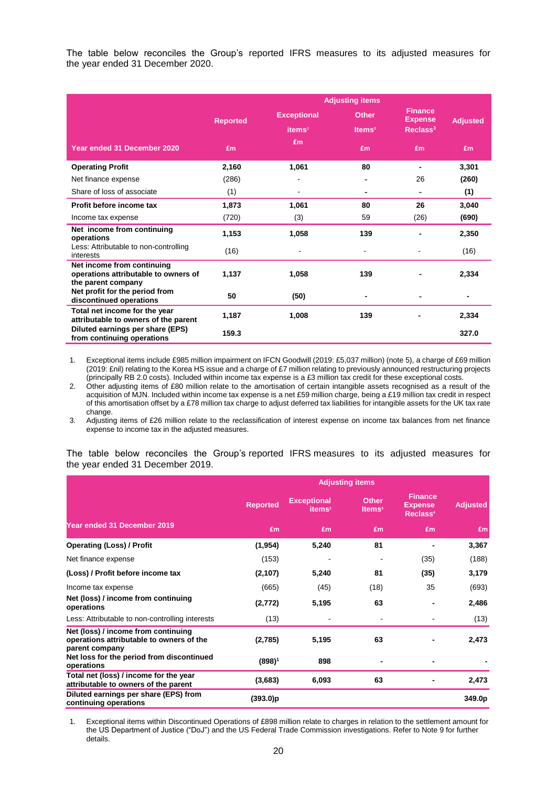The table below reconciles the Group's reported IFRS measures to its adjusted measures for the year ended 31 December 2020.

|                                                                                          | <b>Adjusting items</b> |                    |                    |                                  |                 |
|------------------------------------------------------------------------------------------|------------------------|--------------------|--------------------|----------------------------------|-----------------|
|                                                                                          | <b>Reported</b>        | <b>Exceptional</b> | <b>Other</b>       | <b>Finance</b><br><b>Expense</b> | <b>Adjusted</b> |
|                                                                                          |                        | items <sup>1</sup> | Items <sup>2</sup> | Reclass <sup>3</sup>             |                 |
| Year ended 31 December 2020                                                              | <b>£m</b>              | £m                 | £m                 | <b>£m</b>                        | £m              |
| <b>Operating Profit</b>                                                                  | 2,160                  | 1,061              | 80                 | ٠                                | 3,301           |
| Net finance expense                                                                      | (286)                  | -                  | -                  | 26                               | (260)           |
| Share of loss of associate                                                               | (1)                    |                    | ۰                  | ۰                                | (1)             |
| Profit before income tax                                                                 | 1,873                  | 1,061              | 80                 | 26                               | 3,040           |
| Income tax expense                                                                       | (720)                  | (3)                | 59                 | (26)                             | (690)           |
| Net income from continuing<br>operations                                                 | 1,153                  | 1,058              | 139                |                                  | 2,350           |
| Less: Attributable to non-controlling<br>interests                                       | (16)                   |                    | $\blacksquare$     |                                  | (16)            |
| Net income from continuing<br>operations attributable to owners of<br>the parent company | 1,137                  | 1,058              | 139                |                                  | 2,334           |
| Net profit for the period from<br>discontinued operations                                | 50                     | (50)               |                    |                                  |                 |
| Total net income for the year<br>attributable to owners of the parent                    | 1,187                  | 1,008              | 139                |                                  | 2,334           |
| Diluted earnings per share (EPS)<br>from continuing operations                           | 159.3                  |                    |                    |                                  | 327.0           |

1. Exceptional items include £985 million impairment on IFCN Goodwill (2019: £5,037 million) (note 5), a charge of £69 million (2019: £nil) relating to the Korea HS issue and a charge of £7 million relating to previously announced restructuring projects (principally RB 2.0 costs). Included within income tax expense is a £3 million tax credit for these exceptional costs.

2. Other adjusting items of £80 million relate to the amortisation of certain intangible assets recognised as a result of the acquisition of MJN. Included within income tax expense is a net £59 million charge, being a £19 million tax credit in respect of this amortisation offset by a £78 million tax charge to adjust deferred tax liabilities for intangible assets for the UK tax rate change.

3. Adjusting items of £26 million relate to the reclassification of interest expense on income tax balances from net finance expense to income tax in the adjusted measures.

The table below reconciles the Group's reported IFRS measures to its adjusted measures for the year ended 31 December 2019.

|                                                                                                   | <b>Adjusting items</b> |                                          |                                           |                                                          |                 |
|---------------------------------------------------------------------------------------------------|------------------------|------------------------------------------|-------------------------------------------|----------------------------------------------------------|-----------------|
|                                                                                                   | <b>Reported</b>        | <b>Exceptional</b><br>items <sup>2</sup> | <b>Other</b><br><b>Items</b> <sup>3</sup> | <b>Finance</b><br><b>Expense</b><br>Reclass <sup>4</sup> | <b>Adjusted</b> |
| Year ended 31 December 2019                                                                       | £m                     | £m                                       | £m                                        | £m                                                       | £m              |
| <b>Operating (Loss) / Profit</b>                                                                  | (1, 954)               | 5,240                                    | 81                                        |                                                          | 3,367           |
| Net finance expense                                                                               | (153)                  |                                          |                                           | (35)                                                     | (188)           |
| (Loss) / Profit before income tax                                                                 | (2, 107)               | 5,240                                    | 81                                        | (35)                                                     | 3,179           |
| Income tax expense                                                                                | (665)                  | (45)                                     | (18)                                      | 35                                                       | (693)           |
| Net (loss) / income from continuing<br>operations                                                 | (2, 772)               | 5,195                                    | 63                                        |                                                          | 2,486           |
| Less: Attributable to non-controlling interests                                                   | (13)                   | $\overline{a}$                           | $\overline{a}$                            |                                                          | (13)            |
| Net (loss) / income from continuing<br>operations attributable to owners of the<br>parent company | (2,785)                | 5,195                                    | 63                                        |                                                          | 2,473           |
| Net loss for the period from discontinued<br>operations                                           | $(898)^1$              | 898                                      |                                           |                                                          |                 |
| Total net (loss) / income for the year<br>attributable to owners of the parent                    | (3,683)                | 6,093                                    | 63                                        |                                                          | 2,473           |
| Diluted earnings per share (EPS) from<br>continuing operations                                    | (393.0)p               |                                          |                                           |                                                          | 349.0p          |

1. Exceptional items within Discontinued Operations of £898 million relate to charges in relation to the settlement amount for the US Department of Justice ("DoJ") and the US Federal Trade Commission investigations. Refer to Note 9 for further details.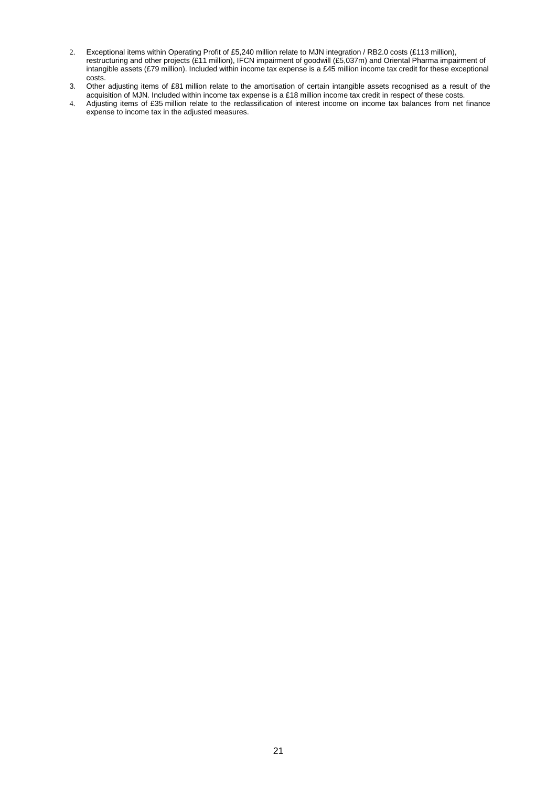- 2. Exceptional items within Operating Profit of £5,240 million relate to MJN integration / RB2.0 costs (£113 million), restructuring and other projects (£11 million), IFCN impairment of goodwill (£5,037m) and Oriental Pharma impairment of intangible assets (£79 million). Included within income tax expense is a £45 million income tax credit for these exceptional costs.
- 3. Other adjusting items of £81 million relate to the amortisation of certain intangible assets recognised as a result of the acquisition of MJN. Included within income tax expense is a £18 million income tax credit in respect of these costs.
- 4. Adjusting items of £35 million relate to the reclassification of interest income on income tax balances from net finance expense to income tax in the adjusted measures.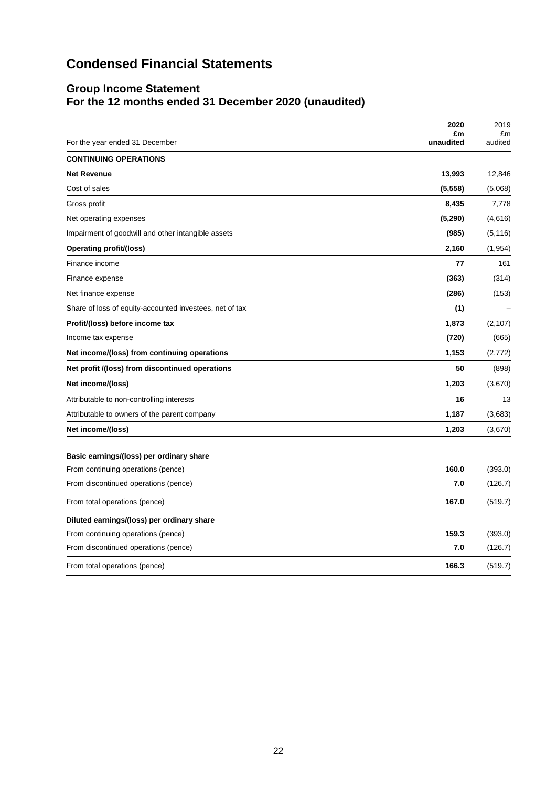# **Condensed Financial Statements**

# **Group Income Statement For the 12 months ended 31 December 2020 (unaudited)**

| For the year ended 31 December                          | 2020<br>£m<br>unaudited | 2019<br>£m<br>audited |
|---------------------------------------------------------|-------------------------|-----------------------|
| <b>CONTINUING OPERATIONS</b>                            |                         |                       |
| <b>Net Revenue</b>                                      | 13,993                  | 12,846                |
| Cost of sales                                           | (5, 558)                | (5,068)               |
| Gross profit                                            | 8,435                   | 7,778                 |
| Net operating expenses                                  | (5, 290)                | (4,616)               |
| Impairment of goodwill and other intangible assets      | (985)                   | (5, 116)              |
| Operating profit/(loss)                                 | 2,160                   | (1,954)               |
| Finance income                                          | 77                      | 161                   |
| Finance expense                                         | (363)                   | (314)                 |
| Net finance expense                                     | (286)                   | (153)                 |
| Share of loss of equity-accounted investees, net of tax | (1)                     |                       |
| Profit/(loss) before income tax                         | 1,873                   | (2, 107)              |
| Income tax expense                                      | (720)                   | (665)                 |
| Net income/(loss) from continuing operations            | 1,153                   | (2,772)               |
| Net profit /(loss) from discontinued operations         | 50                      | (898)                 |
| Net income/(loss)                                       | 1,203                   | (3,670)               |
| Attributable to non-controlling interests               | 16                      | 13                    |
| Attributable to owners of the parent company            | 1,187                   | (3,683)               |
| Net income/(loss)                                       | 1,203                   | (3,670)               |
| Basic earnings/(loss) per ordinary share                |                         |                       |
| From continuing operations (pence)                      | 160.0                   | (393.0)               |
| From discontinued operations (pence)                    | 7.0                     | (126.7)               |
| From total operations (pence)                           | 167.0                   | (519.7)               |
| Diluted earnings/(loss) per ordinary share              |                         |                       |
| From continuing operations (pence)                      | 159.3                   | (393.0)               |
| From discontinued operations (pence)                    | 7.0                     | (126.7)               |
| From total operations (pence)                           | 166.3                   | (519.7)               |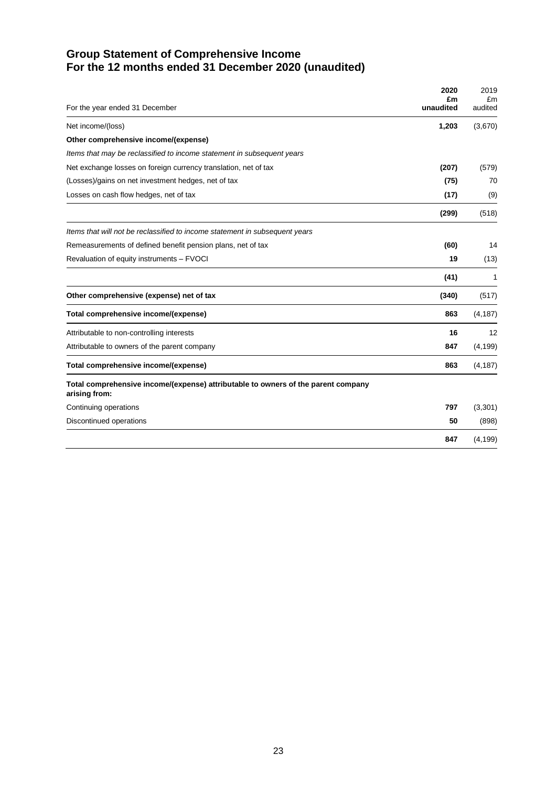# **Group Statement of Comprehensive Income For the 12 months ended 31 December 2020 (unaudited)**

|                                                                                                    | 2020<br>£m | 2019<br>£m |
|----------------------------------------------------------------------------------------------------|------------|------------|
| For the year ended 31 December                                                                     | unaudited  | audited    |
| Net income/(loss)                                                                                  | 1,203      | (3,670)    |
| Other comprehensive income/(expense)                                                               |            |            |
| Items that may be reclassified to income statement in subsequent years                             |            |            |
| Net exchange losses on foreign currency translation, net of tax                                    | (207)      | (579)      |
| (Losses)/gains on net investment hedges, net of tax                                                | (75)       | 70         |
| Losses on cash flow hedges, net of tax                                                             | (17)       | (9)        |
|                                                                                                    | (299)      | (518)      |
| Items that will not be reclassified to income statement in subsequent years                        |            |            |
| Remeasurements of defined benefit pension plans, net of tax                                        | (60)       | 14         |
| Revaluation of equity instruments - FVOCI                                                          | 19         | (13)       |
|                                                                                                    | (41)       | 1          |
| Other comprehensive (expense) net of tax                                                           | (340)      | (517)      |
| Total comprehensive income/(expense)                                                               | 863        | (4, 187)   |
| Attributable to non-controlling interests                                                          | 16         | 12         |
| Attributable to owners of the parent company                                                       | 847        | (4, 199)   |
| Total comprehensive income/(expense)                                                               | 863        | (4, 187)   |
| Total comprehensive income/(expense) attributable to owners of the parent company<br>arising from: |            |            |
| Continuing operations                                                                              | 797        | (3,301)    |
| Discontinued operations                                                                            | 50         | (898)      |
|                                                                                                    | 847        | (4, 199)   |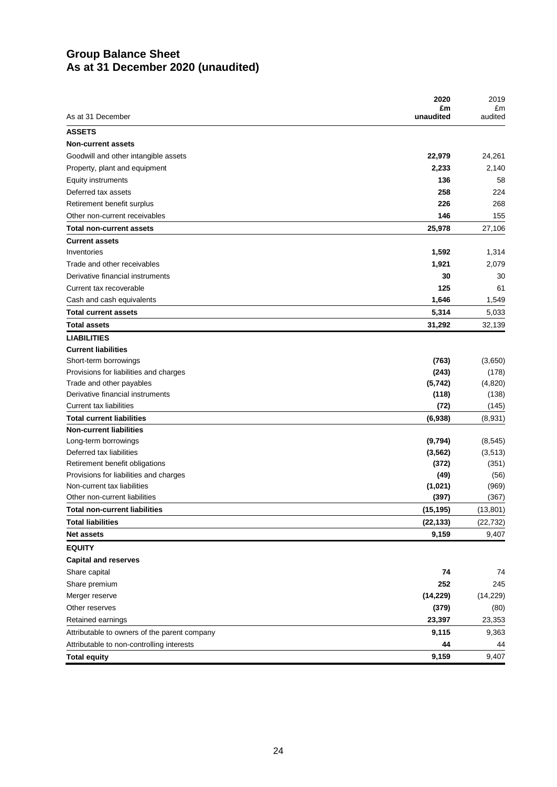## **Group Balance Sheet As at 31 December 2020 (unaudited)**

|                                               | 2020               | 2019               |
|-----------------------------------------------|--------------------|--------------------|
| As at 31 December                             | £m<br>unaudited    | £m<br>audited      |
| <b>ASSETS</b>                                 |                    |                    |
| <b>Non-current assets</b>                     |                    |                    |
| Goodwill and other intangible assets          | 22,979             | 24,261             |
| Property, plant and equipment                 | 2,233              | 2,140              |
| <b>Equity instruments</b>                     | 136                | 58                 |
| Deferred tax assets                           | 258                | 224                |
| Retirement benefit surplus                    | 226                | 268                |
| Other non-current receivables                 | 146                | 155                |
| <b>Total non-current assets</b>               | 25,978             | 27,106             |
| <b>Current assets</b>                         |                    |                    |
| Inventories                                   | 1,592              | 1,314              |
| Trade and other receivables                   | 1,921              | 2,079              |
| Derivative financial instruments              | 30                 | 30                 |
| Current tax recoverable                       | 125                | 61                 |
| Cash and cash equivalents                     | 1,646              | 1,549              |
| <b>Total current assets</b>                   | 5,314              | 5,033              |
| <b>Total assets</b>                           | 31,292             | 32,139             |
| <b>LIABILITIES</b>                            |                    |                    |
| <b>Current liabilities</b>                    |                    |                    |
| Short-term borrowings                         | (763)              | (3,650)            |
| Provisions for liabilities and charges        | (243)              | (178)              |
| Trade and other payables                      | (5, 742)           | (4,820)            |
| Derivative financial instruments              | (118)              | (138)              |
| <b>Current tax liabilities</b>                | (72)               | (145)              |
| <b>Total current liabilities</b>              | (6,938)            | (8,931)            |
| <b>Non-current liabilities</b>                |                    |                    |
| Long-term borrowings                          | (9,794)            | (8, 545)           |
| Deferred tax liabilities                      | (3, 562)           | (3, 513)           |
| Retirement benefit obligations                | (372)              | (351)              |
| Provisions for liabilities and charges        | (49)               | (56)               |
| Non-current tax liabilities                   | (1,021)            | (969)              |
| Other non-current liabilities                 | (397)              | (367)              |
| <b>Total non-current liabilities</b>          | (15, 195)          | (13, 801)          |
| <b>Total liabilities</b><br><b>Net assets</b> | (22, 133)<br>9,159 | (22, 732)<br>9,407 |
|                                               |                    |                    |
| <b>EQUITY</b>                                 |                    |                    |
| <b>Capital and reserves</b>                   |                    |                    |
| Share capital                                 | 74                 | 74                 |
| Share premium                                 | 252                | 245                |
| Merger reserve                                | (14, 229)          | (14, 229)          |
| Other reserves                                | (379)              | (80)               |
| Retained earnings                             | 23,397             | 23,353             |
| Attributable to owners of the parent company  | 9,115              | 9,363              |
| Attributable to non-controlling interests     | 44                 | 44                 |
| <b>Total equity</b>                           | 9,159              | 9,407              |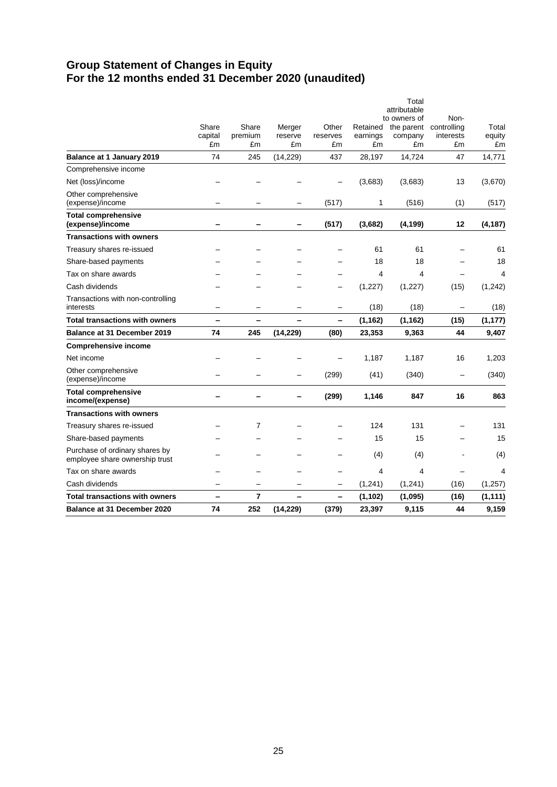# **Group Statement of Changes in Equity For the 12 months ended 31 December 2020 (unaudited)**

| <b>Balance at 31 December 2020</b>                               | 74                     | 252                    | (14, 229)               | (379)                   | 23,397                     | 9,115                                 | 44                             | 9,159                 |
|------------------------------------------------------------------|------------------------|------------------------|-------------------------|-------------------------|----------------------------|---------------------------------------|--------------------------------|-----------------------|
| Total transactions with owners                                   |                        | 7                      |                         | -                       | (1, 102)                   | (1,095)                               | (16)                           | (1, 111)              |
| Cash dividends                                                   |                        |                        |                         | —                       | (1, 241)                   | (1, 241)                              | (16)                           | (1, 257)              |
| Tax on share awards                                              |                        |                        |                         |                         | $\overline{\mathbf{4}}$    | $\overline{4}$                        | -                              | $\overline{4}$        |
| Purchase of ordinary shares by<br>employee share ownership trust |                        |                        |                         |                         | (4)                        | (4)                                   |                                | (4)                   |
| Share-based payments                                             |                        |                        |                         |                         | 15                         | 15                                    |                                | 15                    |
| Treasury shares re-issued                                        |                        | 7                      |                         |                         | 124                        | 131                                   |                                | 131                   |
| <b>Transactions with owners</b>                                  |                        |                        |                         |                         |                            |                                       |                                |                       |
| <b>Total comprehensive</b><br>income/(expense)                   |                        |                        |                         | (299)                   | 1,146                      | 847                                   | 16                             | 863                   |
| Other comprehensive<br>(expense)/income                          |                        |                        |                         | (299)                   | (41)                       | (340)                                 |                                | (340)                 |
| Net income                                                       |                        |                        |                         |                         | 1,187                      | 1,187                                 | 16                             | 1,203                 |
| <b>Comprehensive income</b>                                      |                        |                        |                         |                         |                            |                                       |                                |                       |
| <b>Balance at 31 December 2019</b>                               | 74                     | 245                    | (14, 229)               | (80)                    | 23,353                     | 9,363                                 | 44                             | 9,407                 |
| <b>Total transactions with owners</b>                            |                        |                        | -                       | -                       | (1, 162)                   | (1, 162)                              | (15)                           | (1, 177)              |
| Transactions with non-controlling<br>interests                   |                        |                        |                         |                         | (18)                       | (18)                                  |                                | (18)                  |
| Cash dividends                                                   |                        |                        |                         |                         | (1, 227)                   | (1, 227)                              | (15)                           | (1,242)               |
| Tax on share awards                                              |                        |                        |                         |                         | $\overline{\mathbf{4}}$    | $\overline{4}$                        | $\overline{\phantom{0}}$       | $\overline{4}$        |
| Share-based payments                                             |                        |                        |                         |                         | 18                         | 18                                    |                                | 18                    |
| Treasury shares re-issued                                        |                        |                        |                         |                         | 61                         | 61                                    |                                | 61                    |
| <b>Transactions with owners</b>                                  |                        |                        |                         |                         |                            |                                       |                                |                       |
| <b>Total comprehensive</b><br>(expense)/income                   |                        |                        | -                       | (517)                   | (3,682)                    | (4, 199)                              | 12                             | (4, 187)              |
| Other comprehensive<br>(expense)/income                          |                        |                        |                         | (517)                   | 1                          | (516)                                 | (1)                            | (517)                 |
| Net (loss)/income                                                |                        |                        |                         |                         | (3,683)                    | (3,683)                               | 13                             | (3,670)               |
| Comprehensive income                                             |                        |                        |                         |                         |                            |                                       |                                |                       |
| Balance at 1 January 2019                                        | 74                     | 245                    | (14, 229)               | 437                     | 28,197                     | 14,724                                | 47                             | 14,771                |
|                                                                  | Share<br>capital<br>£m | Share<br>premium<br>£m | Merger<br>reserve<br>£m | Other<br>reserves<br>£m | Retained<br>earnings<br>£m | the parent<br>company<br>£m           | controlling<br>interests<br>£m | Total<br>equity<br>£m |
|                                                                  |                        |                        |                         |                         |                            | Total<br>attributable<br>to owners of | Non-                           |                       |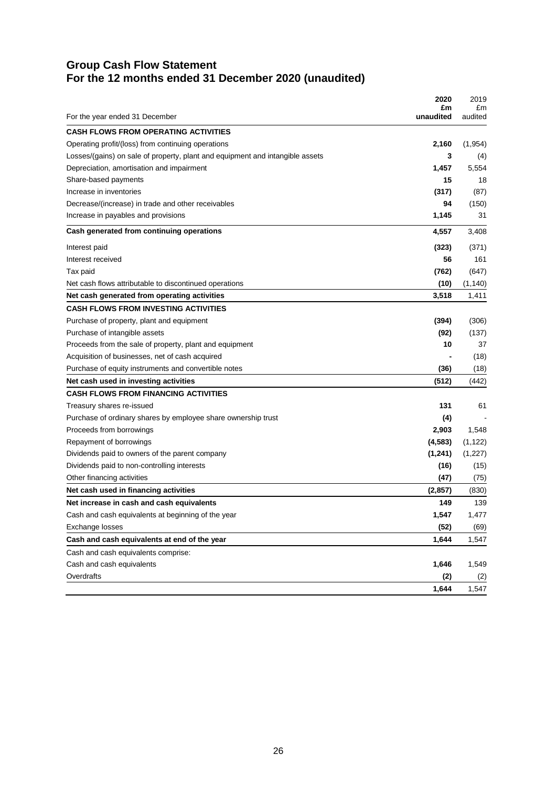# **Group Cash Flow Statement For the 12 months ended 31 December 2020 (unaudited)**

|                                                                               | 2020<br>£m | 2019<br>£m |
|-------------------------------------------------------------------------------|------------|------------|
| For the year ended 31 December                                                | unaudited  | audited    |
| <b>CASH FLOWS FROM OPERATING ACTIVITIES</b>                                   |            |            |
| Operating profit/(loss) from continuing operations                            | 2,160      | (1,954)    |
| Losses/(gains) on sale of property, plant and equipment and intangible assets | 3          | (4)        |
| Depreciation, amortisation and impairment                                     | 1,457      | 5,554      |
| Share-based payments                                                          | 15         | 18         |
| Increase in inventories                                                       | (317)      | (87)       |
| Decrease/(increase) in trade and other receivables                            | 94         | (150)      |
| Increase in payables and provisions                                           | 1,145      | 31         |
| Cash generated from continuing operations                                     | 4,557      | 3,408      |
| Interest paid                                                                 | (323)      | (371)      |
| Interest received                                                             | 56         | 161        |
| Tax paid                                                                      | (762)      | (647)      |
| Net cash flows attributable to discontinued operations                        | (10)       | (1, 140)   |
| Net cash generated from operating activities                                  | 3,518      | 1,411      |
| <b>CASH FLOWS FROM INVESTING ACTIVITIES</b>                                   |            |            |
| Purchase of property, plant and equipment                                     | (394)      | (306)      |
| Purchase of intangible assets                                                 | (92)       | (137)      |
| Proceeds from the sale of property, plant and equipment                       | 10         | 37         |
| Acquisition of businesses, net of cash acquired                               |            | (18)       |
| Purchase of equity instruments and convertible notes                          | (36)       | (18)       |
| Net cash used in investing activities                                         | (512)      | (442)      |
| <b>CASH FLOWS FROM FINANCING ACTIVITIES</b>                                   |            |            |
| Treasury shares re-issued                                                     | 131        | 61         |
| Purchase of ordinary shares by employee share ownership trust                 | (4)        |            |
| Proceeds from borrowings                                                      | 2,903      | 1,548      |
| Repayment of borrowings                                                       | (4, 583)   | (1, 122)   |
| Dividends paid to owners of the parent company                                | (1,241)    | (1, 227)   |
| Dividends paid to non-controlling interests                                   | (16)       | (15)       |
| Other financing activities                                                    | (47)       | (75)       |
| Net cash used in financing activities                                         | (2, 857)   | (830)      |
| Net increase in cash and cash equivalents                                     | 149        | 139        |
| Cash and cash equivalents at beginning of the year                            | 1,547      | 1,477      |
| Exchange losses                                                               | (52)       | (69)       |
| Cash and cash equivalents at end of the year                                  | 1,644      | 1,547      |
| Cash and cash equivalents comprise:                                           |            |            |
| Cash and cash equivalents                                                     | 1,646      | 1,549      |
| Overdrafts                                                                    | (2)        | (2)        |
|                                                                               | 1,644      | 1,547      |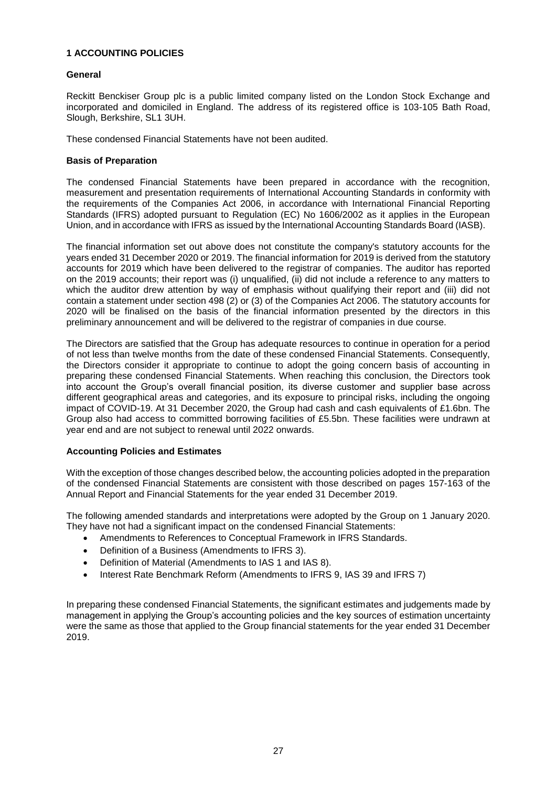#### **1 ACCOUNTING POLICIES**

#### **General**

Reckitt Benckiser Group plc is a public limited company listed on the London Stock Exchange and incorporated and domiciled in England. The address of its registered office is 103-105 Bath Road, Slough, Berkshire, SL1 3UH.

These condensed Financial Statements have not been audited.

#### **Basis of Preparation**

The condensed Financial Statements have been prepared in accordance with the recognition, measurement and presentation requirements of International Accounting Standards in conformity with the requirements of the Companies Act 2006, in accordance with International Financial Reporting Standards (IFRS) adopted pursuant to Regulation (EC) No 1606/2002 as it applies in the European Union, and in accordance with IFRS as issued by the International Accounting Standards Board (IASB).

The financial information set out above does not constitute the company's statutory accounts for the years ended 31 December 2020 or 2019. The financial information for 2019 is derived from the statutory accounts for 2019 which have been delivered to the registrar of companies. The auditor has reported on the 2019 accounts; their report was (i) unqualified, (ii) did not include a reference to any matters to which the auditor drew attention by way of emphasis without qualifying their report and (iii) did not contain a statement under section 498 (2) or (3) of the Companies Act 2006. The statutory accounts for 2020 will be finalised on the basis of the financial information presented by the directors in this preliminary announcement and will be delivered to the registrar of companies in due course.

The Directors are satisfied that the Group has adequate resources to continue in operation for a period of not less than twelve months from the date of these condensed Financial Statements. Consequently, the Directors consider it appropriate to continue to adopt the going concern basis of accounting in preparing these condensed Financial Statements. When reaching this conclusion, the Directors took into account the Group's overall financial position, its diverse customer and supplier base across different geographical areas and categories, and its exposure to principal risks, including the ongoing impact of COVID-19. At 31 December 2020, the Group had cash and cash equivalents of £1.6bn. The Group also had access to committed borrowing facilities of £5.5bn. These facilities were undrawn at year end and are not subject to renewal until 2022 onwards.

#### **Accounting Policies and Estimates**

With the exception of those changes described below, the accounting policies adopted in the preparation of the condensed Financial Statements are consistent with those described on pages 157-163 of the Annual Report and Financial Statements for the year ended 31 December 2019.

The following amended standards and interpretations were adopted by the Group on 1 January 2020. They have not had a significant impact on the condensed Financial Statements:

- Amendments to References to Conceptual Framework in IFRS Standards.
- Definition of a Business (Amendments to IFRS 3).
- Definition of Material (Amendments to IAS 1 and IAS 8).
- Interest Rate Benchmark Reform (Amendments to IFRS 9, IAS 39 and IFRS 7)

In preparing these condensed Financial Statements, the significant estimates and judgements made by management in applying the Group's accounting policies and the key sources of estimation uncertainty were the same as those that applied to the Group financial statements for the year ended 31 December 2019.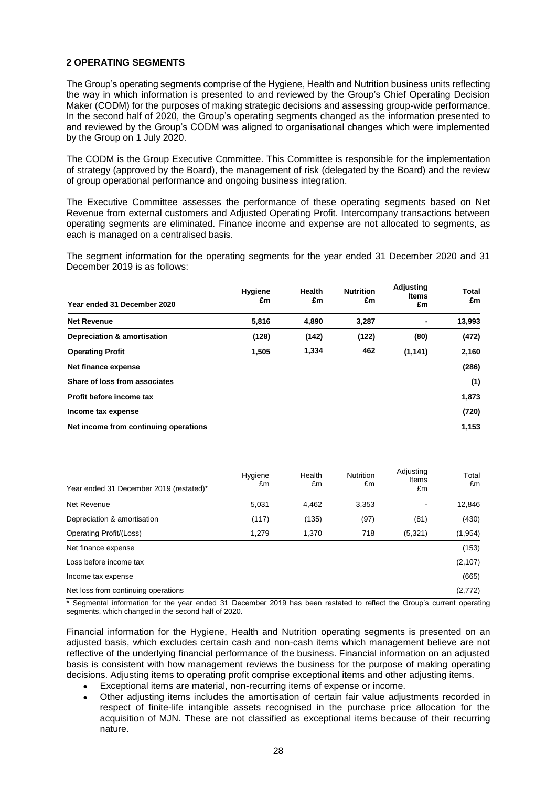#### **2 OPERATING SEGMENTS**

The Group's operating segments comprise of the Hygiene, Health and Nutrition business units reflecting the way in which information is presented to and reviewed by the Group's Chief Operating Decision Maker (CODM) for the purposes of making strategic decisions and assessing group-wide performance. In the second half of 2020, the Group's operating segments changed as the information presented to and reviewed by the Group's CODM was aligned to organisational changes which were implemented by the Group on 1 July 2020.

The CODM is the Group Executive Committee. This Committee is responsible for the implementation of strategy (approved by the Board), the management of risk (delegated by the Board) and the review of group operational performance and ongoing business integration.

The Executive Committee assesses the performance of these operating segments based on Net Revenue from external customers and Adjusted Operating Profit. Intercompany transactions between operating segments are eliminated. Finance income and expense are not allocated to segments, as each is managed on a centralised basis.

The segment information for the operating segments for the year ended 31 December 2020 and 31 December 2019 is as follows:

| Year ended 31 December 2020           | <b>Hygiene</b><br>£m | <b>Health</b><br>£m | <b>Nutrition</b><br>£m | Adjusting<br><b>Items</b><br>£m | Total<br>£m |
|---------------------------------------|----------------------|---------------------|------------------------|---------------------------------|-------------|
| <b>Net Revenue</b>                    | 5,816                | 4,890               | 3,287                  | ٠                               | 13,993      |
| Depreciation & amortisation           | (128)                | (142)               | (122)                  | (80)                            | (472)       |
| <b>Operating Profit</b>               | 1,505                | 1,334               | 462                    | (1, 141)                        | 2,160       |
| Net finance expense                   |                      |                     |                        |                                 | (286)       |
| Share of loss from associates         |                      |                     |                        |                                 | (1)         |
| Profit before income tax              |                      |                     |                        |                                 | 1,873       |
| Income tax expense                    |                      |                     |                        |                                 | (720)       |
| Net income from continuing operations |                      |                     |                        |                                 | 1,153       |

| Year ended 31 December 2019 (restated)* | Hygiene<br>£m | Health<br>£m | <b>Nutrition</b><br>£m | Adjusting<br>Items<br>£m | Total<br>£m |
|-----------------------------------------|---------------|--------------|------------------------|--------------------------|-------------|
| Net Revenue                             | 5.031         | 4,462        | 3,353                  |                          | 12,846      |
| Depreciation & amortisation             | (117)         | (135)        | (97)                   | (81)                     | (430)       |
| <b>Operating Profit/(Loss)</b>          | 1.279         | 1.370        | 718                    | (5,321)                  | (1, 954)    |
| Net finance expense                     |               |              |                        |                          | (153)       |
| Loss before income tax                  |               |              |                        |                          | (2, 107)    |
| Income tax expense                      |               |              |                        |                          | (665)       |
| Net loss from continuing operations     |               |              |                        |                          | (2, 772)    |

\* Segmental information for the year ended 31 December 2019 has been restated to reflect the Group's current operating segments, which changed in the second half of 2020.

Financial information for the Hygiene, Health and Nutrition operating segments is presented on an adjusted basis, which excludes certain cash and non-cash items which management believe are not reflective of the underlying financial performance of the business. Financial information on an adjusted basis is consistent with how management reviews the business for the purpose of making operating decisions. Adjusting items to operating profit comprise exceptional items and other adjusting items.

- Exceptional items are material, non-recurring items of expense or income.
- Other adjusting items includes the amortisation of certain fair value adjustments recorded in respect of finite-life intangible assets recognised in the purchase price allocation for the acquisition of MJN. These are not classified as exceptional items because of their recurring nature.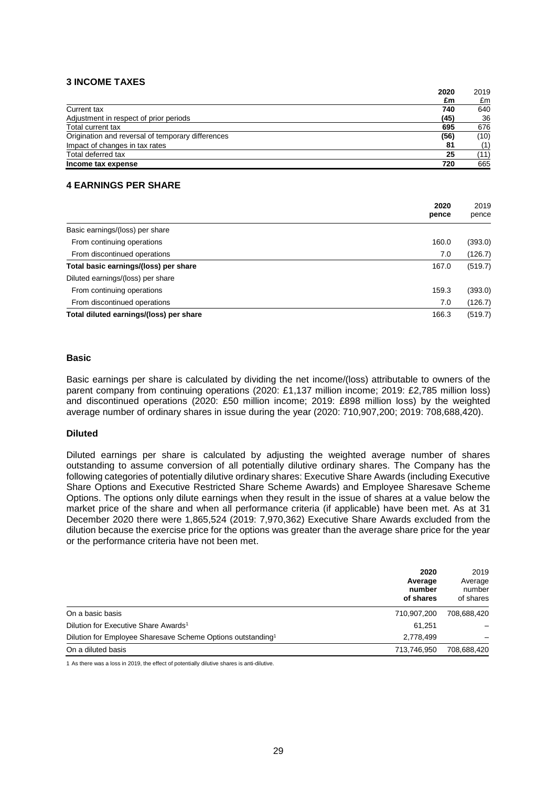#### **3 INCOME TAXES**

|                                                   | 2020 | 2019 |
|---------------------------------------------------|------|------|
|                                                   | £m   | £m   |
| Current tax                                       | 740  | 640  |
| Adjustment in respect of prior periods            | (45) | 36   |
| Total current tax                                 | 695  | 676  |
| Origination and reversal of temporary differences | (56) | (10) |
| Impact of changes in tax rates                    | 81   | (1)  |
| Total deferred tax                                | 25   | (11) |
| Income tax expense                                | 720  | 665  |
|                                                   |      |      |

#### **4 EARNINGS PER SHARE**

|                                         | 2020<br>pence | 2019<br>pence |
|-----------------------------------------|---------------|---------------|
| Basic earnings/(loss) per share         |               |               |
| From continuing operations              | 160.0         | (393.0)       |
| From discontinued operations            | 7.0           | (126.7)       |
| Total basic earnings/(loss) per share   | 167.0         | (519.7)       |
| Diluted earnings/(loss) per share       |               |               |
| From continuing operations              | 159.3         | (393.0)       |
| From discontinued operations            | 7.0           | (126.7)       |
| Total diluted earnings/(loss) per share | 166.3         | (519.7)       |

#### **Basic**

Basic earnings per share is calculated by dividing the net income/(loss) attributable to owners of the parent company from continuing operations (2020: £1,137 million income; 2019: £2,785 million loss) and discontinued operations (2020: £50 million income; 2019: £898 million loss) by the weighted average number of ordinary shares in issue during the year (2020: 710,907,200; 2019: 708,688,420).

#### **Diluted**

Diluted earnings per share is calculated by adjusting the weighted average number of shares outstanding to assume conversion of all potentially dilutive ordinary shares. The Company has the following categories of potentially dilutive ordinary shares: Executive Share Awards (including Executive Share Options and Executive Restricted Share Scheme Awards) and Employee Sharesave Scheme Options. The options only dilute earnings when they result in the issue of shares at a value below the market price of the share and when all performance criteria (if applicable) have been met. As at 31 December 2020 there were 1,865,524 (2019: 7,970,362) Executive Share Awards excluded from the dilution because the exercise price for the options was greater than the average share price for the year or the performance criteria have not been met.

|                                                                         | 2020<br>Average<br>number<br>of shares | 2019<br>Average<br>number<br>of shares |
|-------------------------------------------------------------------------|----------------------------------------|----------------------------------------|
| On a basic basis                                                        | 710,907,200                            | 708,688,420                            |
| Dilution for Executive Share Awards <sup>1</sup>                        | 61.251                                 |                                        |
| Dilution for Employee Sharesave Scheme Options outstanding <sup>1</sup> | 2,778,499                              |                                        |
| On a diluted basis                                                      | 713,746,950                            | 708,688,420                            |

1 As there was a loss in 2019, the effect of potentially dilutive shares is anti-dilutive.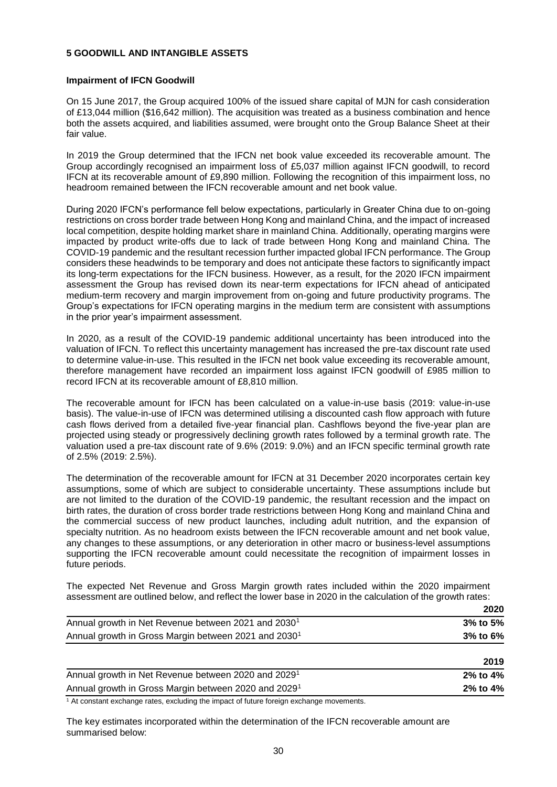#### **5 GOODWILL AND INTANGIBLE ASSETS**

#### **Impairment of IFCN Goodwill**

On 15 June 2017, the Group acquired 100% of the issued share capital of MJN for cash consideration of £13,044 million (\$16,642 million). The acquisition was treated as a business combination and hence both the assets acquired, and liabilities assumed, were brought onto the Group Balance Sheet at their fair value.

In 2019 the Group determined that the IFCN net book value exceeded its recoverable amount. The Group accordingly recognised an impairment loss of £5,037 million against IFCN goodwill, to record IFCN at its recoverable amount of £9,890 million. Following the recognition of this impairment loss, no headroom remained between the IFCN recoverable amount and net book value.

During 2020 IFCN's performance fell below expectations, particularly in Greater China due to on-going restrictions on cross border trade between Hong Kong and mainland China, and the impact of increased local competition, despite holding market share in mainland China. Additionally, operating margins were impacted by product write-offs due to lack of trade between Hong Kong and mainland China. The COVID-19 pandemic and the resultant recession further impacted global IFCN performance. The Group considers these headwinds to be temporary and does not anticipate these factors to significantly impact its long-term expectations for the IFCN business. However, as a result, for the 2020 IFCN impairment assessment the Group has revised down its near-term expectations for IFCN ahead of anticipated medium-term recovery and margin improvement from on-going and future productivity programs. The Group's expectations for IFCN operating margins in the medium term are consistent with assumptions in the prior year's impairment assessment.

In 2020, as a result of the COVID-19 pandemic additional uncertainty has been introduced into the valuation of IFCN. To reflect this uncertainty management has increased the pre-tax discount rate used to determine value-in-use. This resulted in the IFCN net book value exceeding its recoverable amount, therefore management have recorded an impairment loss against IFCN goodwill of £985 million to record IFCN at its recoverable amount of £8,810 million.

The recoverable amount for IFCN has been calculated on a value-in-use basis (2019: value-in-use basis). The value-in-use of IFCN was determined utilising a discounted cash flow approach with future cash flows derived from a detailed five-year financial plan. Cashflows beyond the five-year plan are projected using steady or progressively declining growth rates followed by a terminal growth rate. The valuation used a pre-tax discount rate of 9.6% (2019: 9.0%) and an IFCN specific terminal growth rate of 2.5% (2019: 2.5%).

The determination of the recoverable amount for IFCN at 31 December 2020 incorporates certain key assumptions, some of which are subject to considerable uncertainty. These assumptions include but are not limited to the duration of the COVID-19 pandemic, the resultant recession and the impact on birth rates, the duration of cross border trade restrictions between Hong Kong and mainland China and the commercial success of new product launches, including adult nutrition, and the expansion of specialty nutrition. As no headroom exists between the IFCN recoverable amount and net book value, any changes to these assumptions, or any deterioration in other macro or business-level assumptions supporting the IFCN recoverable amount could necessitate the recognition of impairment losses in future periods.

The expected Net Revenue and Gross Margin growth rates included within the 2020 impairment assessment are outlined below, and reflect the lower base in 2020 in the calculation of the growth rates:

|                                                                  | 2020           |
|------------------------------------------------------------------|----------------|
| Annual growth in Net Revenue between 2021 and 2030 <sup>1</sup>  | $3\%$ to $5\%$ |
| Annual growth in Gross Margin between 2021 and 2030 <sup>1</sup> | $3%$ to 6%     |
|                                                                  |                |

|                                                                  | 2019           |
|------------------------------------------------------------------|----------------|
| Annual growth in Net Revenue between 2020 and 2029 <sup>1</sup>  | $2\%$ to $4\%$ |
| Annual growth in Gross Margin between 2020 and 2029 <sup>1</sup> | $2\%$ to $4\%$ |

 $1/1$  At constant exchange rates, excluding the impact of future foreign exchange movements.

The key estimates incorporated within the determination of the IFCN recoverable amount are summarised below: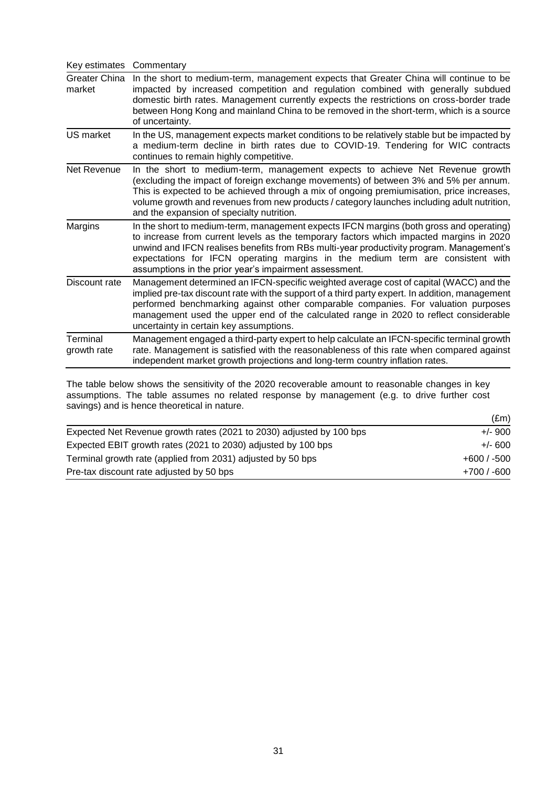| Key estimates           | Commentary                                                                                                                                                                                                                                                                                                                                                                                                                 |
|-------------------------|----------------------------------------------------------------------------------------------------------------------------------------------------------------------------------------------------------------------------------------------------------------------------------------------------------------------------------------------------------------------------------------------------------------------------|
| Greater China<br>market | In the short to medium-term, management expects that Greater China will continue to be<br>impacted by increased competition and regulation combined with generally subdued<br>domestic birth rates. Management currently expects the restrictions on cross-border trade<br>between Hong Kong and mainland China to be removed in the short-term, which is a source<br>of uncertainty.                                      |
| US market               | In the US, management expects market conditions to be relatively stable but be impacted by<br>a medium-term decline in birth rates due to COVID-19. Tendering for WIC contracts<br>continues to remain highly competitive.                                                                                                                                                                                                 |
| Net Revenue             | In the short to medium-term, management expects to achieve Net Revenue growth<br>(excluding the impact of foreign exchange movements) of between 3% and 5% per annum.<br>This is expected to be achieved through a mix of ongoing premiumisation, price increases,<br>volume growth and revenues from new products / category launches including adult nutrition,<br>and the expansion of specialty nutrition.             |
| Margins                 | In the short to medium-term, management expects IFCN margins (both gross and operating)<br>to increase from current levels as the temporary factors which impacted margins in 2020<br>unwind and IFCN realises benefits from RBs multi-year productivity program. Management's<br>expectations for IFCN operating margins in the medium term are consistent with<br>assumptions in the prior year's impairment assessment. |
| Discount rate           | Management determined an IFCN-specific weighted average cost of capital (WACC) and the<br>implied pre-tax discount rate with the support of a third party expert. In addition, management<br>performed benchmarking against other comparable companies. For valuation purposes<br>management used the upper end of the calculated range in 2020 to reflect considerable<br>uncertainty in certain key assumptions.         |
| Terminal<br>growth rate | Management engaged a third-party expert to help calculate an IFCN-specific terminal growth<br>rate. Management is satisfied with the reasonableness of this rate when compared against<br>independent market growth projections and long-term country inflation rates.                                                                                                                                                     |

The table below shows the sensitivity of the 2020 recoverable amount to reasonable changes in key assumptions. The table assumes no related response by management (e.g. to drive further cost savings) and is hence theoretical in nature.

|                                                                      | $(\text{Em})$ |
|----------------------------------------------------------------------|---------------|
| Expected Net Revenue growth rates (2021 to 2030) adjusted by 100 bps | $+/-$ 900     |
| Expected EBIT growth rates (2021 to 2030) adjusted by 100 bps        | $+/- 600$     |
| Terminal growth rate (applied from 2031) adjusted by 50 bps          | $+600/ -500$  |
| Pre-tax discount rate adjusted by 50 bps                             | $+700/ -600$  |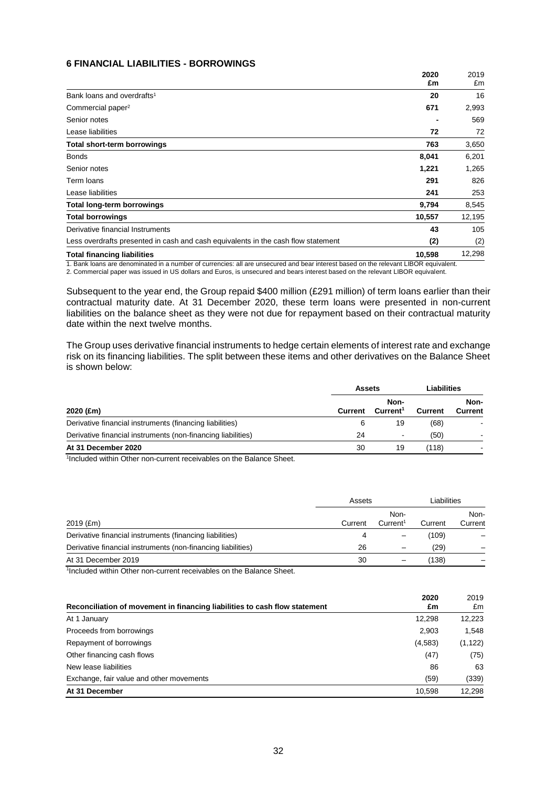#### **6 FINANCIAL LIABILITIES - BORROWINGS**

|                                                                                                                                                                                                                                      | 2020<br>£m | 2019<br>£m |
|--------------------------------------------------------------------------------------------------------------------------------------------------------------------------------------------------------------------------------------|------------|------------|
| Bank loans and overdrafts <sup>1</sup>                                                                                                                                                                                               | 20         | 16         |
| Commercial paper <sup>2</sup>                                                                                                                                                                                                        | 671        | 2,993      |
| Senior notes                                                                                                                                                                                                                         |            | 569        |
| Lease liabilities                                                                                                                                                                                                                    | 72         | 72         |
| <b>Total short-term borrowings</b>                                                                                                                                                                                                   | 763        | 3,650      |
| <b>Bonds</b>                                                                                                                                                                                                                         | 8,041      | 6,201      |
| Senior notes                                                                                                                                                                                                                         | 1,221      | 1,265      |
| Term loans                                                                                                                                                                                                                           | 291        | 826        |
| Lease liabilities                                                                                                                                                                                                                    | 241        | 253        |
| <b>Total long-term borrowings</b>                                                                                                                                                                                                    | 9,794      | 8,545      |
| <b>Total borrowings</b>                                                                                                                                                                                                              | 10,557     | 12,195     |
| Derivative financial Instruments                                                                                                                                                                                                     | 43         | 105        |
| Less overdrafts presented in cash and cash equivalents in the cash flow statement                                                                                                                                                    | (2)        | (2)        |
| <b>Total financing liabilities</b>                                                                                                                                                                                                   | 10,598     | 12,298     |
| <u>in the state of the state of the state of the state of the state of the state of the state of the state of the state of the state of the state of the state of the state of the state of the state of the state of the state </u> |            |            |

1. Bank loans are denominated in a number of currencies: all are unsecured and bear interest based on the relevant LIBOR equivalent. 2. Commercial paper was issued in US dollars and Euros, is unsecured and bears interest based on the relevant LIBOR equivalent.

Subsequent to the year end, the Group repaid \$400 million (£291 million) of term loans earlier than their contractual maturity date. At 31 December 2020, these term loans were presented in non-current liabilities on the balance sheet as they were not due for repayment based on their contractual maturity date within the next twelve months.

The Group uses derivative financial instruments to hedge certain elements of interest rate and exchange risk on its financing liabilities. The split between these items and other derivatives on the Balance Sheet is shown below:

|                                                              |         | Assets                       |                | Liabilities            |  |
|--------------------------------------------------------------|---------|------------------------------|----------------|------------------------|--|
| 2020 (£m)                                                    | Current | Non-<br>Current <sup>1</sup> | <b>Current</b> | Non-<br><b>Current</b> |  |
| Derivative financial instruments (financing liabilities)     | 6       | 19                           | (68)           |                        |  |
| Derivative financial instruments (non-financing liabilities) | 24      | $\overline{\phantom{a}}$     | (50)           | -                      |  |
| At 31 December 2020                                          | 30      | 19                           | (118)          |                        |  |

1 Included within Other non-current receivables on the Balance Sheet.

|                                                              |         | Assets                       |         | Liabilities     |  |
|--------------------------------------------------------------|---------|------------------------------|---------|-----------------|--|
| $2019$ (£m)                                                  | Current | Non-<br>Current <sup>1</sup> | Current | Non-<br>Current |  |
| Derivative financial instruments (financing liabilities)     |         |                              | (109)   |                 |  |
| Derivative financial instruments (non-financing liabilities) | 26      |                              | (29)    |                 |  |
| At 31 December 2019                                          | 30      |                              | (138)   |                 |  |

<sup>1</sup>Included within Other non-current receivables on the Balance Sheet.

| Reconciliation of movement in financing liabilities to cash flow statement | 2020<br>£m | 2019<br>£m |
|----------------------------------------------------------------------------|------------|------------|
| At 1 January                                                               | 12,298     | 12,223     |
| Proceeds from borrowings                                                   | 2,903      | 1.548      |
| Repayment of borrowings                                                    | (4,583)    | (1, 122)   |
| Other financing cash flows                                                 | (47)       | (75)       |
| New lease liabilities                                                      | 86         | 63         |
| Exchange, fair value and other movements                                   | (59)       | (339)      |
| At 31 December                                                             | 10.598     | 12,298     |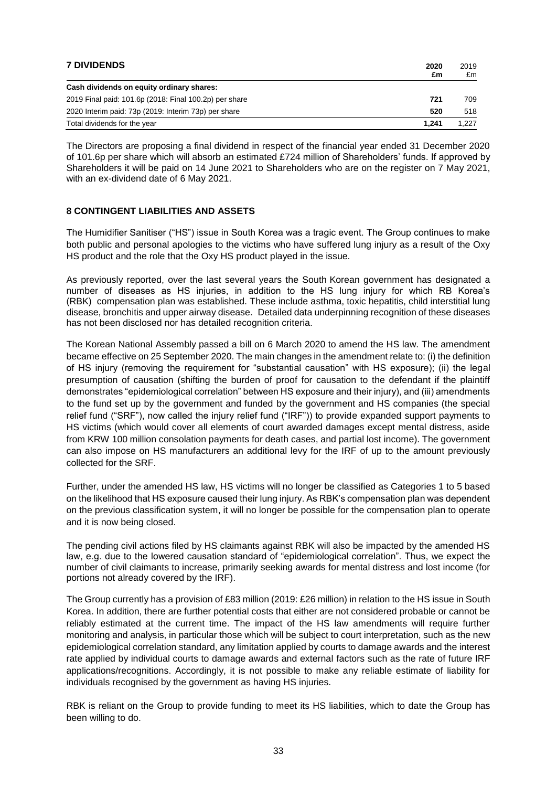| <b>7 DIVIDENDS</b>                                     | 2020<br>£m | 2019<br>£m |
|--------------------------------------------------------|------------|------------|
| Cash dividends on equity ordinary shares:              |            |            |
| 2019 Final paid: 101.6p (2018: Final 100.2p) per share | 721        | 709        |
| 2020 Interim paid: 73p (2019: Interim 73p) per share   | 520        | 518        |
| Total dividends for the year                           | 1.241      | 1.227      |

The Directors are proposing a final dividend in respect of the financial year ended 31 December 2020 of 101.6p per share which will absorb an estimated £724 million of Shareholders' funds. If approved by Shareholders it will be paid on 14 June 2021 to Shareholders who are on the register on 7 May 2021, with an ex-dividend date of 6 May 2021.

### **8 CONTINGENT LIABILITIES AND ASSETS**

The Humidifier Sanitiser ("HS") issue in South Korea was a tragic event. The Group continues to make both public and personal apologies to the victims who have suffered lung injury as a result of the Oxy HS product and the role that the Oxy HS product played in the issue.

As previously reported, over the last several years the South Korean government has designated a number of diseases as HS injuries, in addition to the HS lung injury for which RB Korea's (RBK) compensation plan was established. These include asthma, toxic hepatitis, child interstitial lung disease, bronchitis and upper airway disease. Detailed data underpinning recognition of these diseases has not been disclosed nor has detailed recognition criteria.

The Korean National Assembly passed a bill on 6 March 2020 to amend the HS law. The amendment became effective on 25 September 2020. The main changes in the amendment relate to: (i) the definition of HS injury (removing the requirement for "substantial causation" with HS exposure); (ii) the legal presumption of causation (shifting the burden of proof for causation to the defendant if the plaintiff demonstrates "epidemiological correlation" between HS exposure and their injury), and (iii) amendments to the fund set up by the government and funded by the government and HS companies (the special relief fund ("SRF"), now called the injury relief fund ("IRF")) to provide expanded support payments to HS victims (which would cover all elements of court awarded damages except mental distress, aside from KRW 100 million consolation payments for death cases, and partial lost income). The government can also impose on HS manufacturers an additional levy for the IRF of up to the amount previously collected for the SRF.

Further, under the amended HS law, HS victims will no longer be classified as Categories 1 to 5 based on the likelihood that HS exposure caused their lung injury. As RBK's compensation plan was dependent on the previous classification system, it will no longer be possible for the compensation plan to operate and it is now being closed.

The pending civil actions filed by HS claimants against RBK will also be impacted by the amended HS law, e.g. due to the lowered causation standard of "epidemiological correlation". Thus, we expect the number of civil claimants to increase, primarily seeking awards for mental distress and lost income (for portions not already covered by the IRF).

The Group currently has a provision of £83 million (2019: £26 million) in relation to the HS issue in South Korea. In addition, there are further potential costs that either are not considered probable or cannot be reliably estimated at the current time. The impact of the HS law amendments will require further monitoring and analysis, in particular those which will be subject to court interpretation, such as the new epidemiological correlation standard, any limitation applied by courts to damage awards and the interest rate applied by individual courts to damage awards and external factors such as the rate of future IRF applications/recognitions. Accordingly, it is not possible to make any reliable estimate of liability for individuals recognised by the government as having HS injuries.

RBK is reliant on the Group to provide funding to meet its HS liabilities, which to date the Group has been willing to do.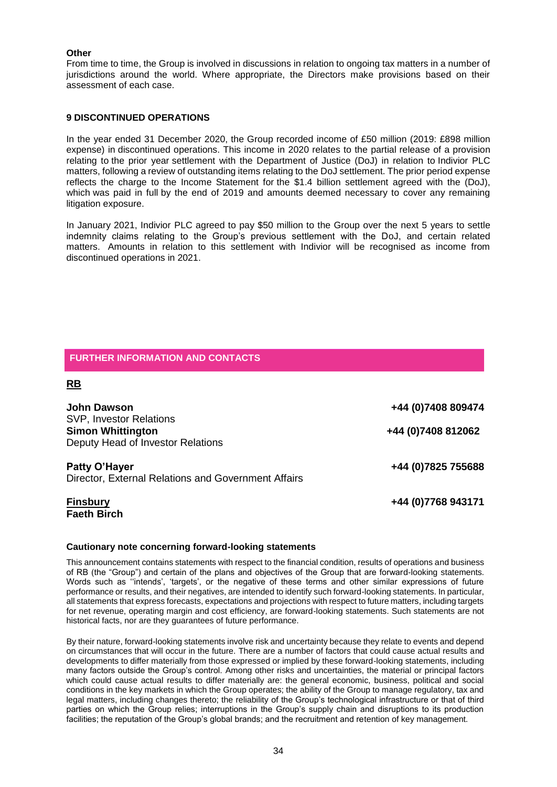#### **Other**

From time to time, the Group is involved in discussions in relation to ongoing tax matters in a number of jurisdictions around the world. Where appropriate, the Directors make provisions based on their assessment of each case.

#### **9 DISCONTINUED OPERATIONS**

In the year ended 31 December 2020, the Group recorded income of £50 million (2019: £898 million expense) in discontinued operations. This income in 2020 relates to the partial release of a provision relating to the prior year settlement with the Department of Justice (DoJ) in relation to Indivior PLC matters, following a review of outstanding items relating to the DoJ settlement. The prior period expense reflects the charge to the Income Statement for the \$1.4 billion settlement agreed with the (DoJ), which was paid in full by the end of 2019 and amounts deemed necessary to cover any remaining litigation exposure.

In January 2021, Indivior PLC agreed to pay \$50 million to the Group over the next 5 years to settle indemnity claims relating to the Group's previous settlement with the DoJ, and certain related matters. Amounts in relation to this settlement with Indivior will be recognised as income from discontinued operations in 2021.

### **FURTHER INFORMATION AND CONTACTS**

### **RB**

| <b>John Dawson</b>                                                                              | +44 (0) 7408 809474 |
|-------------------------------------------------------------------------------------------------|---------------------|
| <b>SVP, Investor Relations</b><br><b>Simon Whittington</b><br>Deputy Head of Investor Relations | +44 (0) 7408 812062 |
| Patty O'Hayer<br>Director, External Relations and Government Affairs                            | +44 (0) 7825 755688 |
| <b>Finsbury</b><br><b>Faeth Birch</b>                                                           | +44 (0) 7768 943171 |

#### **Cautionary note concerning forward-looking statements**

This announcement contains statements with respect to the financial condition, results of operations and business of RB (the "Group") and certain of the plans and objectives of the Group that are forward-looking statements. Words such as ''intends', 'targets', or the negative of these terms and other similar expressions of future performance or results, and their negatives, are intended to identify such forward-looking statements. In particular, all statements that express forecasts, expectations and projections with respect to future matters, including targets for net revenue, operating margin and cost efficiency, are forward-looking statements. Such statements are not historical facts, nor are they guarantees of future performance.

By their nature, forward-looking statements involve risk and uncertainty because they relate to events and depend on circumstances that will occur in the future. There are a number of factors that could cause actual results and developments to differ materially from those expressed or implied by these forward-looking statements, including many factors outside the Group's control. Among other risks and uncertainties, the material or principal factors which could cause actual results to differ materially are: the general economic, business, political and social conditions in the key markets in which the Group operates; the ability of the Group to manage regulatory, tax and legal matters, including changes thereto; the reliability of the Group's technological infrastructure or that of third parties on which the Group relies; interruptions in the Group's supply chain and disruptions to its production facilities; the reputation of the Group's global brands; and the recruitment and retention of key management.